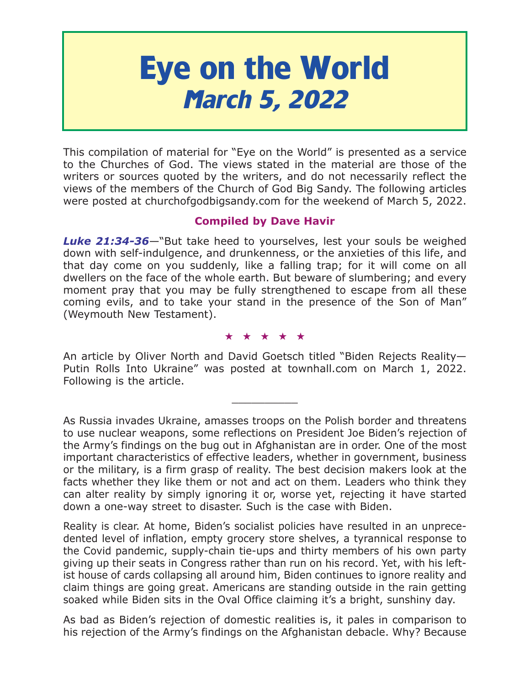# **Eye on the World March 5, 2022**

This compilation of material for "Eye on the World" is presented as a service to the Churches of God. The views stated in the material are those of the writers or sources quoted by the writers, and do not necessarily reflect the views of the members of the Church of God Big Sandy. The following articles were posted at churchofgodbigsandy.com for the weekend of March 5, 2022.

# **Compiled by Dave Havir**

*Luke 21:34-36*—"But take heed to yourselves, lest your souls be weighed down with self-indulgence, and drunkenness, or the anxieties of this life, and that day come on you suddenly, like a falling trap; for it will come on all dwellers on the face of the whole earth. But beware of slumbering; and every moment pray that you may be fully strengthened to escape from all these coming evils, and to take your stand in the presence of the Son of Man" (Weymouth New Testament).

#### ★★★★★

An article by Oliver North and David Goetsch titled "Biden Rejects Reality— Putin Rolls Into Ukraine" was posted at townhall.com on March 1, 2022. Following is the article.

 $\overline{\phantom{a}}$  , where  $\overline{\phantom{a}}$ 

As Russia invades Ukraine, amasses troops on the Polish border and threatens to use nuclear weapons, some reflections on President Joe Biden's rejection of the Army's findings on the bug out in Afghanistan are in order. One of the most important characteristics of effective leaders, whether in government, business or the military, is a firm grasp of reality. The best decision makers look at the facts whether they like them or not and act on them. Leaders who think they can alter reality by simply ignoring it or, worse yet, rejecting it have started down a one-way street to disaster. Such is the case with Biden.

Reality is clear. At home, Biden's socialist policies have resulted in an unprecedented level of inflation, empty grocery store shelves, a tyrannical response to the Covid pandemic, supply-chain tie-ups and thirty members of his own party giving up their seats in Congress rather than run on his record. Yet, with his leftist house of cards collapsing all around him, Biden continues to ignore reality and claim things are going great. Americans are standing outside in the rain getting soaked while Biden sits in the Oval Office claiming it's a bright, sunshiny day.

As bad as Biden's rejection of domestic realities is, it pales in comparison to his rejection of the Army's findings on the Afghanistan debacle. Why? Because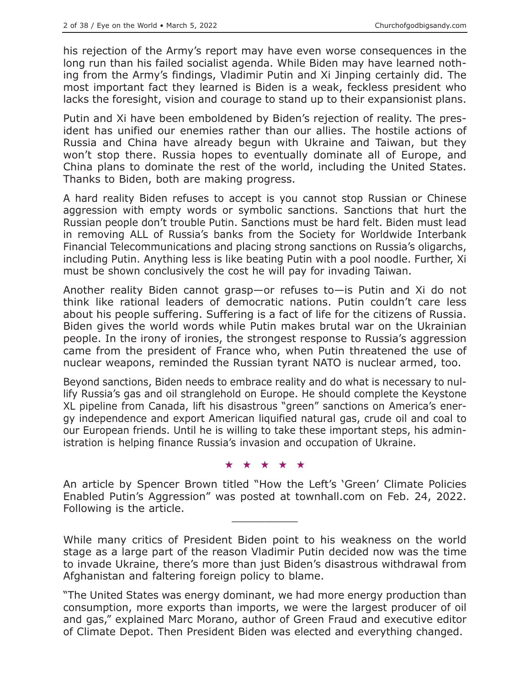his rejection of the Army's report may have even worse consequences in the long run than his failed socialist agenda. While Biden may have learned nothing from the Army's findings, Vladimir Putin and Xi Jinping certainly did. The most important fact they learned is Biden is a weak, feckless president who lacks the foresight, vision and courage to stand up to their expansionist plans.

Putin and Xi have been emboldened by Biden's rejection of reality. The president has unified our enemies rather than our allies. The hostile actions of Russia and China have already begun with Ukraine and Taiwan, but they won't stop there. Russia hopes to eventually dominate all of Europe, and China plans to dominate the rest of the world, including the United States. Thanks to Biden, both are making progress.

A hard reality Biden refuses to accept is you cannot stop Russian or Chinese aggression with empty words or symbolic sanctions. Sanctions that hurt the Russian people don't trouble Putin. Sanctions must be hard felt. Biden must lead in removing ALL of Russia's banks from the Society for Worldwide Interbank Financial Telecommunications and placing strong sanctions on Russia's oligarchs, including Putin. Anything less is like beating Putin with a pool noodle. Further, Xi must be shown conclusively the cost he will pay for invading Taiwan.

Another reality Biden cannot grasp—or refuses to—is Putin and Xi do not think like rational leaders of democratic nations. Putin couldn't care less about his people suffering. Suffering is a fact of life for the citizens of Russia. Biden gives the world words while Putin makes brutal war on the Ukrainian people. In the irony of ironies, the strongest response to Russia's aggression came from the president of France who, when Putin threatened the use of nuclear weapons, reminded the Russian tyrant NATO is nuclear armed, too.

Beyond sanctions, Biden needs to embrace reality and do what is necessary to nullify Russia's gas and oil stranglehold on Europe. He should complete the Keystone XL pipeline from Canada, lift his disastrous "green" sanctions on America's energy independence and export American liquified natural gas, crude oil and coal to our European friends. Until he is willing to take these important steps, his administration is helping finance Russia's invasion and occupation of Ukraine.

#### ★★★★★

An article by Spencer Brown titled "How the Left's 'Green' Climate Policies Enabled Putin's Aggression" was posted at townhall.com on Feb. 24, 2022. Following is the article.

While many critics of President Biden point to his weakness on the world stage as a large part of the reason Vladimir Putin decided now was the time to invade Ukraine, there's more than just Biden's disastrous withdrawal from Afghanistan and faltering foreign policy to blame.

"The United States was energy dominant, we had more energy production than consumption, more exports than imports, we were the largest producer of oil and gas," explained Marc Morano, author of Green Fraud and executive editor of Climate Depot. Then President Biden was elected and everything changed.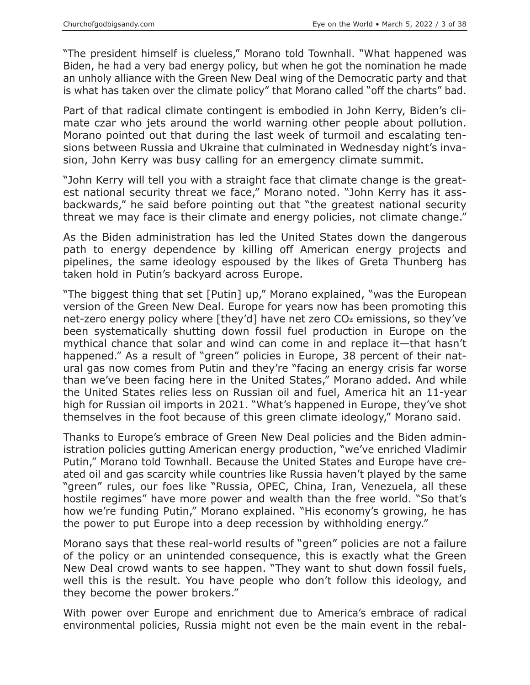"The president himself is clueless," Morano told Townhall. "What happened was Biden, he had a very bad energy policy, but when he got the nomination he made an unholy alliance with the Green New Deal wing of the Democratic party and that is what has taken over the climate policy" that Morano called "off the charts" bad.

Part of that radical climate contingent is embodied in John Kerry, Biden's climate czar who jets around the world warning other people about pollution. Morano pointed out that during the last week of turmoil and escalating tensions between Russia and Ukraine that culminated in Wednesday night's invasion, John Kerry was busy calling for an emergency climate summit.

"John Kerry will tell you with a straight face that climate change is the greatest national security threat we face," Morano noted. "John Kerry has it assbackwards," he said before pointing out that "the greatest national security threat we may face is their climate and energy policies, not climate change."

As the Biden administration has led the United States down the dangerous path to energy dependence by killing off American energy projects and pipelines, the same ideology espoused by the likes of Greta Thunberg has taken hold in Putin's backyard across Europe.

"The biggest thing that set [Putin] up," Morano explained, "was the European version of the Green New Deal. Europe for years now has been promoting this net-zero energy policy where [they'd] have net zero CO<sub>2</sub> emissions, so they've been systematically shutting down fossil fuel production in Europe on the mythical chance that solar and wind can come in and replace it—that hasn't happened." As a result of "green" policies in Europe, 38 percent of their natural gas now comes from Putin and they're "facing an energy crisis far worse than we've been facing here in the United States," Morano added. And while the United States relies less on Russian oil and fuel, America hit an 11-year high for Russian oil imports in 2021. "What's happened in Europe, they've shot themselves in the foot because of this green climate ideology," Morano said.

Thanks to Europe's embrace of Green New Deal policies and the Biden administration policies gutting American energy production, "we've enriched Vladimir Putin," Morano told Townhall. Because the United States and Europe have created oil and gas scarcity while countries like Russia haven't played by the same "green" rules, our foes like "Russia, OPEC, China, Iran, Venezuela, all these hostile regimes" have more power and wealth than the free world. "So that's how we're funding Putin," Morano explained. "His economy's growing, he has the power to put Europe into a deep recession by withholding energy."

Morano says that these real-world results of "green" policies are not a failure of the policy or an unintended consequence, this is exactly what the Green New Deal crowd wants to see happen. "They want to shut down fossil fuels, well this is the result. You have people who don't follow this ideology, and they become the power brokers."

With power over Europe and enrichment due to America's embrace of radical environmental policies, Russia might not even be the main event in the rebal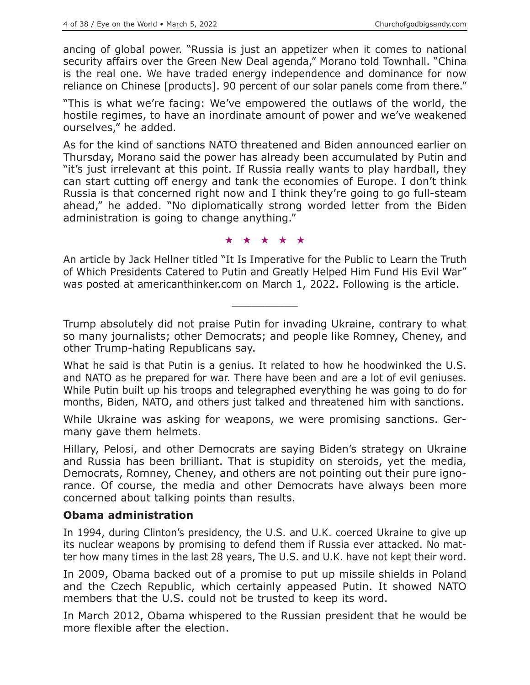ancing of global power. "Russia is just an appetizer when it comes to national security affairs over the Green New Deal agenda," Morano told Townhall. "China is the real one. We have traded energy independence and dominance for now reliance on Chinese [products]. 90 percent of our solar panels come from there."

"This is what we're facing: We've empowered the outlaws of the world, the hostile regimes, to have an inordinate amount of power and we've weakened ourselves," he added.

As for the kind of sanctions NATO threatened and Biden announced earlier on Thursday, Morano said the power has already been accumulated by Putin and "it's just irrelevant at this point. If Russia really wants to play hardball, they can start cutting off energy and tank the economies of Europe. I don't think Russia is that concerned right now and I think they're going to go full-steam ahead," he added. "No diplomatically strong worded letter from the Biden administration is going to change anything."

★★★★★

An article by Jack Hellner titled "It Is Imperative for the Public to Learn the Truth of Which Presidents Catered to Putin and Greatly Helped Him Fund His Evil War" was posted at americanthinker.com on March 1, 2022. Following is the article.

 $\overline{\phantom{a}}$  , where  $\overline{\phantom{a}}$ 

Trump absolutely did not praise Putin for invading Ukraine, contrary to what so many journalists; other Democrats; and people like Romney, Cheney, and other Trump-hating Republicans say.

What he said is that Putin is a genius. It related to how he hoodwinked the U.S. and NATO as he prepared for war. There have been and are a lot of evil geniuses. While Putin built up his troops and telegraphed everything he was going to do for months, Biden, NATO, and others just talked and threatened him with sanctions.

While Ukraine was asking for weapons, we were promising sanctions. Germany gave them helmets.

Hillary, Pelosi, and other Democrats are saying Biden's strategy on Ukraine and Russia has been brilliant. That is stupidity on steroids, yet the media, Democrats, Romney, Cheney, and others are not pointing out their pure ignorance. Of course, the media and other Democrats have always been more concerned about talking points than results.

## **Obama administration**

In 1994, during Clinton's presidency, the U.S. and U.K. coerced Ukraine to give up its nuclear weapons by promising to defend them if Russia ever attacked. No matter how many times in the last 28 years, The U.S. and U.K. have not kept their word.

In 2009, Obama backed out of a promise to put up missile shields in Poland and the Czech Republic, which certainly appeased Putin. It showed NATO members that the U.S. could not be trusted to keep its word.

In March 2012, Obama whispered to the Russian president that he would be more flexible after the election.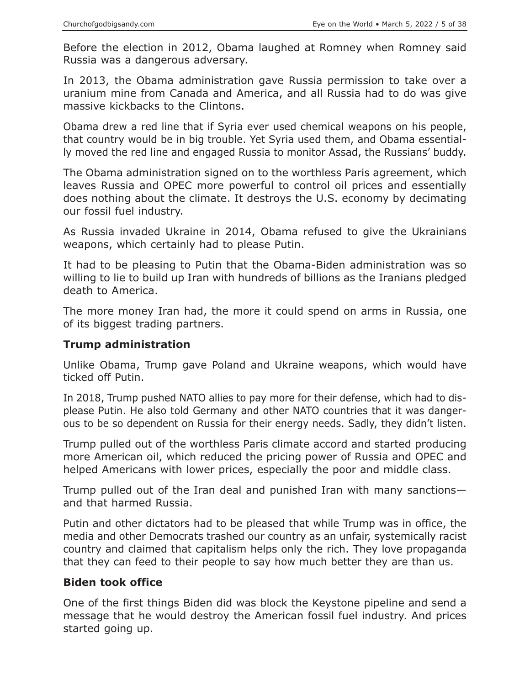Before the election in 2012, Obama laughed at Romney when Romney said Russia was a dangerous adversary.

In 2013, the Obama administration gave Russia permission to take over a uranium mine from Canada and America, and all Russia had to do was give massive kickbacks to the Clintons.

Obama drew a red line that if Syria ever used chemical weapons on his people, that country would be in big trouble. Yet Syria used them, and Obama essentially moved the red line and engaged Russia to monitor Assad, the Russians' buddy.

The Obama administration signed on to the worthless Paris agreement, which leaves Russia and OPEC more powerful to control oil prices and essentially does nothing about the climate. It destroys the U.S. economy by decimating our fossil fuel industry.

As Russia invaded Ukraine in 2014, Obama refused to give the Ukrainians weapons, which certainly had to please Putin.

It had to be pleasing to Putin that the Obama-Biden administration was so willing to lie to build up Iran with hundreds of billions as the Iranians pledged death to America.

The more money Iran had, the more it could spend on arms in Russia, one of its biggest trading partners.

## **Trump administration**

Unlike Obama, Trump gave Poland and Ukraine weapons, which would have ticked off Putin.

In 2018, Trump pushed NATO allies to pay more for their defense, which had to displease Putin. He also told Germany and other NATO countries that it was dangerous to be so dependent on Russia for their energy needs. Sadly, they didn't listen.

Trump pulled out of the worthless Paris climate accord and started producing more American oil, which reduced the pricing power of Russia and OPEC and helped Americans with lower prices, especially the poor and middle class.

Trump pulled out of the Iran deal and punished Iran with many sanctions and that harmed Russia.

Putin and other dictators had to be pleased that while Trump was in office, the media and other Democrats trashed our country as an unfair, systemically racist country and claimed that capitalism helps only the rich. They love propaganda that they can feed to their people to say how much better they are than us.

## **Biden took office**

One of the first things Biden did was block the Keystone pipeline and send a message that he would destroy the American fossil fuel industry. And prices started going up.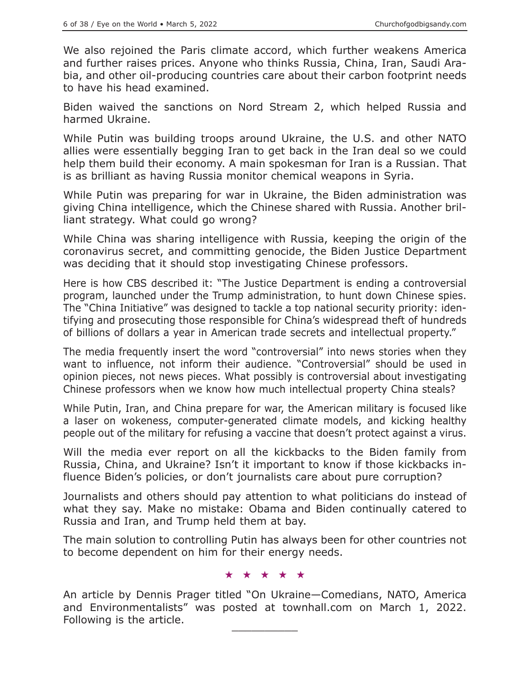We also rejoined the Paris climate accord, which further weakens America and further raises prices. Anyone who thinks Russia, China, Iran, Saudi Arabia, and other oil-producing countries care about their carbon footprint needs to have his head examined.

Biden waived the sanctions on Nord Stream 2, which helped Russia and harmed Ukraine.

While Putin was building troops around Ukraine, the U.S. and other NATO allies were essentially begging Iran to get back in the Iran deal so we could help them build their economy. A main spokesman for Iran is a Russian. That is as brilliant as having Russia monitor chemical weapons in Syria.

While Putin was preparing for war in Ukraine, the Biden administration was giving China intelligence, which the Chinese shared with Russia. Another brilliant strategy. What could go wrong?

While China was sharing intelligence with Russia, keeping the origin of the coronavirus secret, and committing genocide, the Biden Justice Department was deciding that it should stop investigating Chinese professors.

Here is how CBS described it: "The Justice Department is ending a controversial program, launched under the Trump administration, to hunt down Chinese spies. The "China Initiative" was designed to tackle a top national security priority: identifying and prosecuting those responsible for China's widespread theft of hundreds of billions of dollars a year in American trade secrets and intellectual property."

The media frequently insert the word "controversial" into news stories when they want to influence, not inform their audience. "Controversial" should be used in opinion pieces, not news pieces. What possibly is controversial about investigating Chinese professors when we know how much intellectual property China steals?

While Putin, Iran, and China prepare for war, the American military is focused like a laser on wokeness, computer-generated climate models, and kicking healthy people out of the military for refusing a vaccine that doesn't protect against a virus.

Will the media ever report on all the kickbacks to the Biden family from Russia, China, and Ukraine? Isn't it important to know if those kickbacks influence Biden's policies, or don't journalists care about pure corruption?

Journalists and others should pay attention to what politicians do instead of what they say. Make no mistake: Obama and Biden continually catered to Russia and Iran, and Trump held them at bay.

The main solution to controlling Putin has always been for other countries not to become dependent on him for their energy needs.

#### ★★★★★

An article by Dennis Prager titled "On Ukraine—Comedians, NATO, America and Environmentalists" was posted at townhall.com on March 1, 2022. Following is the article.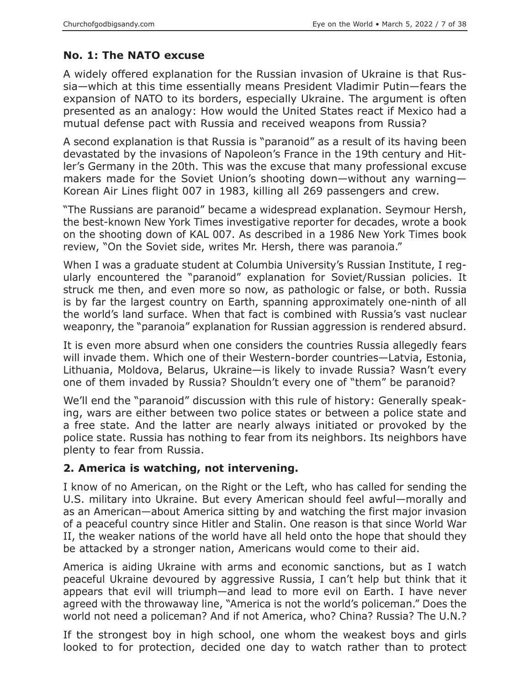# **No. 1: The NATO excuse**

A widely offered explanation for the Russian invasion of Ukraine is that Russia—which at this time essentially means President Vladimir Putin—fears the expansion of NATO to its borders, especially Ukraine. The argument is often presented as an analogy: How would the United States react if Mexico had a mutual defense pact with Russia and received weapons from Russia?

A second explanation is that Russia is "paranoid" as a result of its having been devastated by the invasions of Napoleon's France in the 19th century and Hitler's Germany in the 20th. This was the excuse that many professional excuse makers made for the Soviet Union's shooting down—without any warning— Korean Air Lines flight 007 in 1983, killing all 269 passengers and crew.

"The Russians are paranoid" became a widespread explanation. Seymour Hersh, the best-known New York Times investigative reporter for decades, wrote a book on the shooting down of KAL 007. As described in a 1986 New York Times book review, "On the Soviet side, writes Mr. Hersh, there was paranoia."

When I was a graduate student at Columbia University's Russian Institute, I regularly encountered the "paranoid" explanation for Soviet/Russian policies. It struck me then, and even more so now, as pathologic or false, or both. Russia is by far the largest country on Earth, spanning approximately one-ninth of all the world's land surface. When that fact is combined with Russia's vast nuclear weaponry, the "paranoia" explanation for Russian aggression is rendered absurd.

It is even more absurd when one considers the countries Russia allegedly fears will invade them. Which one of their Western-border countries—Latvia, Estonia, Lithuania, Moldova, Belarus, Ukraine—is likely to invade Russia? Wasn't every one of them invaded by Russia? Shouldn't every one of "them" be paranoid?

We'll end the "paranoid" discussion with this rule of history: Generally speaking, wars are either between two police states or between a police state and a free state. And the latter are nearly always initiated or provoked by the police state. Russia has nothing to fear from its neighbors. Its neighbors have plenty to fear from Russia.

# **2. America is watching, not intervening.**

I know of no American, on the Right or the Left, who has called for sending the U.S. military into Ukraine. But every American should feel awful—morally and as an American—about America sitting by and watching the first major invasion of a peaceful country since Hitler and Stalin. One reason is that since World War II, the weaker nations of the world have all held onto the hope that should they be attacked by a stronger nation, Americans would come to their aid.

America is aiding Ukraine with arms and economic sanctions, but as I watch peaceful Ukraine devoured by aggressive Russia, I can't help but think that it appears that evil will triumph—and lead to more evil on Earth. I have never agreed with the throwaway line, "America is not the world's policeman." Does the world not need a policeman? And if not America, who? China? Russia? The U.N.?

If the strongest boy in high school, one whom the weakest boys and girls looked to for protection, decided one day to watch rather than to protect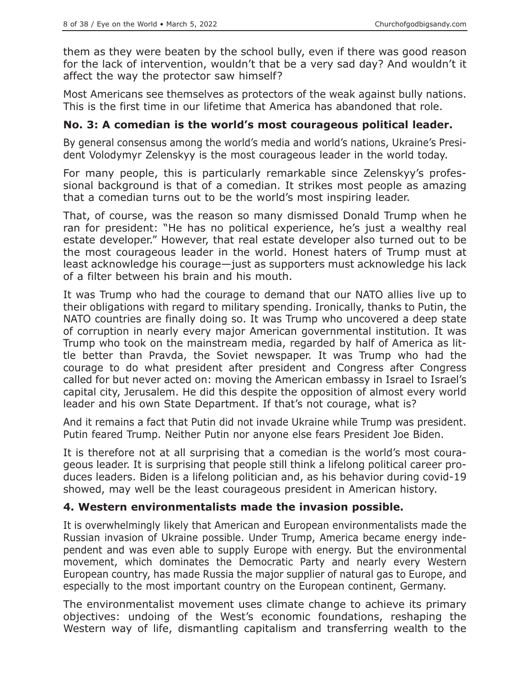them as they were beaten by the school bully, even if there was good reason for the lack of intervention, wouldn't that be a very sad day? And wouldn't it affect the way the protector saw himself?

Most Americans see themselves as protectors of the weak against bully nations. This is the first time in our lifetime that America has abandoned that role.

#### **No. 3: A comedian is the world's most courageous political leader.**

By general consensus among the world's media and world's nations, Ukraine's President Volodymyr Zelenskyy is the most courageous leader in the world today.

For many people, this is particularly remarkable since Zelenskyy's professional background is that of a comedian. It strikes most people as amazing that a comedian turns out to be the world's most inspiring leader.

That, of course, was the reason so many dismissed Donald Trump when he ran for president: "He has no political experience, he's just a wealthy real estate developer." However, that real estate developer also turned out to be the most courageous leader in the world. Honest haters of Trump must at least acknowledge his courage—just as supporters must acknowledge his lack of a filter between his brain and his mouth.

It was Trump who had the courage to demand that our NATO allies live up to their obligations with regard to military spending. Ironically, thanks to Putin, the NATO countries are finally doing so. It was Trump who uncovered a deep state of corruption in nearly every major American governmental institution. It was Trump who took on the mainstream media, regarded by half of America as little better than Pravda, the Soviet newspaper. It was Trump who had the courage to do what president after president and Congress after Congress called for but never acted on: moving the American embassy in Israel to Israel's capital city, Jerusalem. He did this despite the opposition of almost every world leader and his own State Department. If that's not courage, what is?

And it remains a fact that Putin did not invade Ukraine while Trump was president. Putin feared Trump. Neither Putin nor anyone else fears President Joe Biden.

It is therefore not at all surprising that a comedian is the world's most courageous leader. It is surprising that people still think a lifelong political career produces leaders. Biden is a lifelong politician and, as his behavior during covid-19 showed, may well be the least courageous president in American history.

## **4. Western environmentalists made the invasion possible.**

It is overwhelmingly likely that American and European environmentalists made the Russian invasion of Ukraine possible. Under Trump, America became energy independent and was even able to supply Europe with energy. But the environmental movement, which dominates the Democratic Party and nearly every Western European country, has made Russia the major supplier of natural gas to Europe, and especially to the most important country on the European continent, Germany.

The environmentalist movement uses climate change to achieve its primary objectives: undoing of the West's economic foundations, reshaping the Western way of life, dismantling capitalism and transferring wealth to the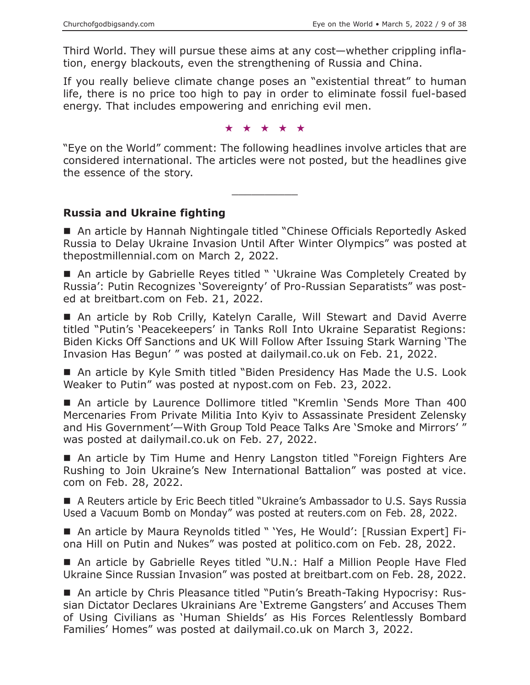Third World. They will pursue these aims at any cost—whether crippling inflation, energy blackouts, even the strengthening of Russia and China.

If you really believe climate change poses an "existential threat" to human life, there is no price too high to pay in order to eliminate fossil fuel-based energy. That includes empowering and enriching evil men.

★★★★★

"Eye on the World" comment: The following headlines involve articles that are considered international. The articles were not posted, but the headlines give the essence of the story.

 $\overline{\phantom{a}}$  , where  $\overline{\phantom{a}}$ 

**Russia and Ukraine fighting**

■ An article by Hannah Nightingale titled "Chinese Officials Reportedly Asked Russia to Delay Ukraine Invasion Until After Winter Olympics" was posted at thepostmillennial.com on March 2, 2022.

■ An article by Gabrielle Reyes titled " 'Ukraine Was Completely Created by Russia': Putin Recognizes 'Sovereignty' of Pro-Russian Separatists" was posted at breitbart.com on Feb. 21, 2022.

■ An article by Rob Crilly, Katelyn Caralle, Will Stewart and David Averre titled "Putin's 'Peacekeepers' in Tanks Roll Into Ukraine Separatist Regions: Biden Kicks Off Sanctions and UK Will Follow After Issuing Stark Warning 'The Invasion Has Begun' " was posted at dailymail.co.uk on Feb. 21, 2022.

■ An article by Kyle Smith titled "Biden Presidency Has Made the U.S. Look Weaker to Putin" was posted at nypost.com on Feb. 23, 2022.

 An article by Laurence Dollimore titled "Kremlin 'Sends More Than 400 Mercenaries From Private Militia Into Kyiv to Assassinate President Zelensky and His Government'—With Group Told Peace Talks Are 'Smoke and Mirrors' " was posted at dailymail.co.uk on Feb. 27, 2022.

■ An article by Tim Hume and Henry Langston titled "Foreign Fighters Are Rushing to Join Ukraine's New International Battalion" was posted at vice. com on Feb. 28, 2022.

■ A Reuters article by Eric Beech titled "Ukraine's Ambassador to U.S. Says Russia Used a Vacuum Bomb on Monday" was posted at reuters.com on Feb. 28, 2022.

■ An article by Maura Reynolds titled " 'Yes, He Would': [Russian Expert] Fiona Hill on Putin and Nukes" was posted at politico.com on Feb. 28, 2022.

■ An article by Gabrielle Reyes titled "U.N.: Half a Million People Have Fled Ukraine Since Russian Invasion" was posted at breitbart.com on Feb. 28, 2022.

■ An article by Chris Pleasance titled "Putin's Breath-Taking Hypocrisy: Russian Dictator Declares Ukrainians Are 'Extreme Gangsters' and Accuses Them of Using Civilians as 'Human Shields' as His Forces Relentlessly Bombard Families' Homes" was posted at dailymail.co.uk on March 3, 2022.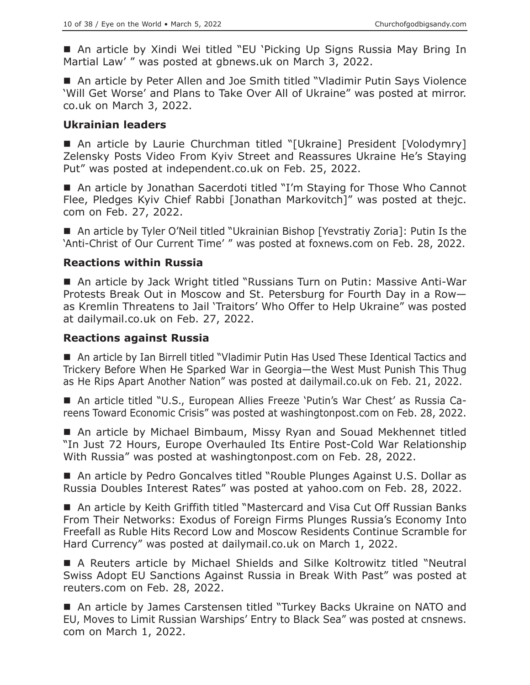■ An article by Xindi Wei titled "EU 'Picking Up Signs Russia May Bring In Martial Law' " was posted at gbnews.uk on March 3, 2022.

■ An article by Peter Allen and Joe Smith titled "Vladimir Putin Says Violence 'Will Get Worse' and Plans to Take Over All of Ukraine" was posted at mirror. co.uk on March 3, 2022.

#### **Ukrainian leaders**

■ An article by Laurie Churchman titled "[Ukraine] President [Volodymry] Zelensky Posts Video From Kyiv Street and Reassures Ukraine He's Staying Put" was posted at independent.co.uk on Feb. 25, 2022.

■ An article by Jonathan Sacerdoti titled "I'm Staying for Those Who Cannot Flee, Pledges Kyiv Chief Rabbi [Jonathan Markovitch]" was posted at thejc. com on Feb. 27, 2022.

■ An article by Tyler O'Neil titled "Ukrainian Bishop [Yevstratiy Zoria]: Putin Is the 'Anti-Christ of Our Current Time' " was posted at foxnews.com on Feb. 28, 2022.

#### **Reactions within Russia**

■ An article by Jack Wright titled "Russians Turn on Putin: Massive Anti-War Protests Break Out in Moscow and St. Petersburg for Fourth Day in a Row as Kremlin Threatens to Jail 'Traitors' Who Offer to Help Ukraine" was posted at dailymail.co.uk on Feb. 27, 2022.

#### **Reactions against Russia**

■ An article by Ian Birrell titled "Vladimir Putin Has Used These Identical Tactics and Trickery Before When He Sparked War in Georgia—the West Must Punish This Thug as He Rips Apart Another Nation" was posted at dailymail.co.uk on Feb. 21, 2022.

 An article titled "U.S., European Allies Freeze 'Putin's War Chest' as Russia Careens Toward Economic Crisis" was posted at washingtonpost.com on Feb. 28, 2022.

 An article by Michael Bimbaum, Missy Ryan and Souad Mekhennet titled "In Just 72 Hours, Europe Overhauled Its Entire Post-Cold War Relationship With Russia" was posted at washingtonpost.com on Feb. 28, 2022.

■ An article by Pedro Goncalves titled "Rouble Plunges Against U.S. Dollar as Russia Doubles Interest Rates" was posted at yahoo.com on Feb. 28, 2022.

■ An article by Keith Griffith titled "Mastercard and Visa Cut Off Russian Banks From Their Networks: Exodus of Foreign Firms Plunges Russia's Economy Into Freefall as Ruble Hits Record Low and Moscow Residents Continue Scramble for Hard Currency" was posted at dailymail.co.uk on March 1, 2022.

 A Reuters article by Michael Shields and Silke Koltrowitz titled "Neutral Swiss Adopt EU Sanctions Against Russia in Break With Past" was posted at reuters.com on Feb. 28, 2022.

■ An article by James Carstensen titled "Turkey Backs Ukraine on NATO and EU, Moves to Limit Russian Warships' Entry to Black Sea" was posted at cnsnews. com on March 1, 2022.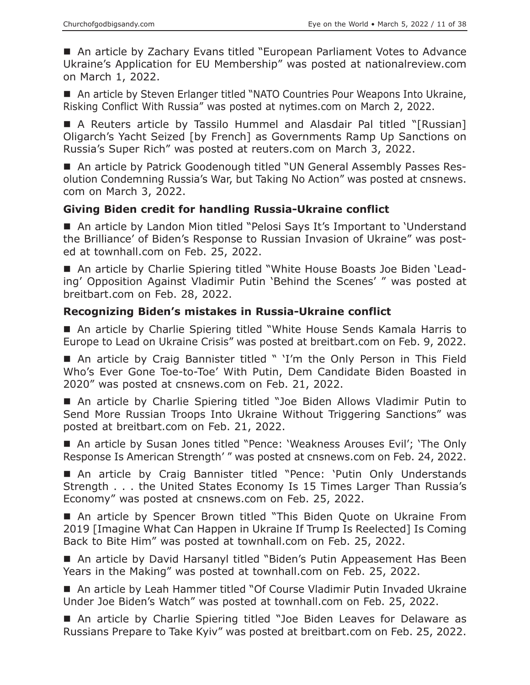■ An article by Zachary Evans titled "European Parliament Votes to Advance Ukraine's Application for EU Membership" was posted at nationalreview.com on March 1, 2022.

■ An article by Steven Erlanger titled "NATO Countries Pour Weapons Into Ukraine, Risking Conflict With Russia" was posted at nytimes.com on March 2, 2022.

 A Reuters article by Tassilo Hummel and Alasdair Pal titled "[Russian] Oligarch's Yacht Seized [by French] as Governments Ramp Up Sanctions on Russia's Super Rich" was posted at reuters.com on March 3, 2022.

■ An article by Patrick Goodenough titled "UN General Assembly Passes Resolution Condemning Russia's War, but Taking No Action" was posted at cnsnews. com on March 3, 2022.

## **Giving Biden credit for handling Russia-Ukraine conflict**

■ An article by Landon Mion titled "Pelosi Says It's Important to 'Understand the Brilliance' of Biden's Response to Russian Invasion of Ukraine" was posted at townhall.com on Feb. 25, 2022.

■ An article by Charlie Spiering titled "White House Boasts Joe Biden 'Leading' Opposition Against Vladimir Putin 'Behind the Scenes' " was posted at breitbart.com on Feb. 28, 2022.

#### **Recognizing Biden's mistakes in Russia-Ukraine conflict**

■ An article by Charlie Spiering titled "White House Sends Kamala Harris to Europe to Lead on Ukraine Crisis" was posted at breitbart.com on Feb. 9, 2022.

 An article by Craig Bannister titled " 'I'm the Only Person in This Field Who's Ever Gone Toe-to-Toe' With Putin, Dem Candidate Biden Boasted in 2020" was posted at cnsnews.com on Feb. 21, 2022.

■ An article by Charlie Spiering titled "Joe Biden Allows Vladimir Putin to Send More Russian Troops Into Ukraine Without Triggering Sanctions" was posted at breitbart.com on Feb. 21, 2022.

■ An article by Susan Jones titled "Pence: 'Weakness Arouses Evil'; 'The Only Response Is American Strength' " was posted at cnsnews.com on Feb. 24, 2022.

■ An article by Craig Bannister titled "Pence: 'Putin Only Understands Strength . . . the United States Economy Is 15 Times Larger Than Russia's Economy" was posted at cnsnews.com on Feb. 25, 2022.

■ An article by Spencer Brown titled "This Biden Quote on Ukraine From 2019 [Imagine What Can Happen in Ukraine If Trump Is Reelected] Is Coming Back to Bite Him" was posted at townhall.com on Feb. 25, 2022.

■ An article by David Harsanyl titled "Biden's Putin Appeasement Has Been Years in the Making" was posted at townhall.com on Feb. 25, 2022.

■ An article by Leah Hammer titled "Of Course Vladimir Putin Invaded Ukraine Under Joe Biden's Watch" was posted at townhall.com on Feb. 25, 2022.

■ An article by Charlie Spiering titled "Joe Biden Leaves for Delaware as Russians Prepare to Take Kyiv" was posted at breitbart.com on Feb. 25, 2022.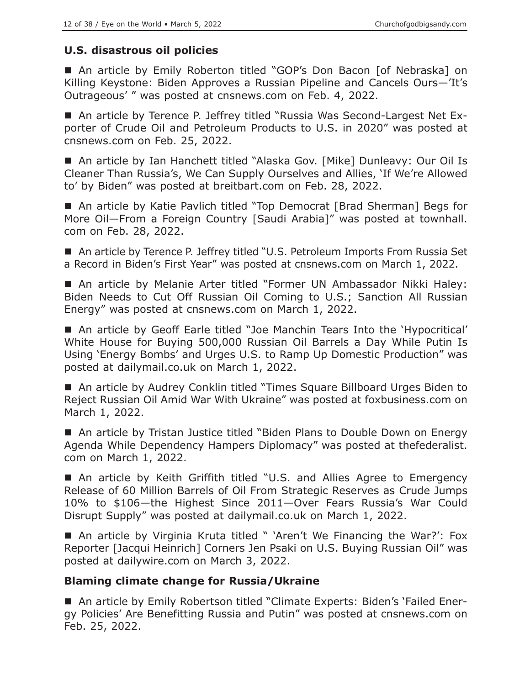## **U.S. disastrous oil policies**

■ An article by Emily Roberton titled "GOP's Don Bacon [of Nebraska] on Killing Keystone: Biden Approves a Russian Pipeline and Cancels Ours—'It's Outrageous' " was posted at cnsnews.com on Feb. 4, 2022.

 An article by Terence P. Jeffrey titled "Russia Was Second-Largest Net Exporter of Crude Oil and Petroleum Products to U.S. in 2020" was posted at cnsnews.com on Feb. 25, 2022.

 An article by Ian Hanchett titled "Alaska Gov. [Mike] Dunleavy: Our Oil Is Cleaner Than Russia's, We Can Supply Ourselves and Allies, 'If We're Allowed to' by Biden" was posted at breitbart.com on Feb. 28, 2022.

■ An article by Katie Pavlich titled "Top Democrat [Brad Sherman] Begs for More Oil—From a Foreign Country [Saudi Arabia]" was posted at townhall. com on Feb. 28, 2022.

■ An article by Terence P. Jeffrey titled "U.S. Petroleum Imports From Russia Set a Record in Biden's First Year" was posted at cnsnews.com on March 1, 2022.

 An article by Melanie Arter titled "Former UN Ambassador Nikki Haley: Biden Needs to Cut Off Russian Oil Coming to U.S.; Sanction All Russian Energy" was posted at cnsnews.com on March 1, 2022.

 An article by Geoff Earle titled "Joe Manchin Tears Into the 'Hypocritical' White House for Buying 500,000 Russian Oil Barrels a Day While Putin Is Using 'Energy Bombs' and Urges U.S. to Ramp Up Domestic Production" was posted at dailymail.co.uk on March 1, 2022.

■ An article by Audrey Conklin titled "Times Square Billboard Urges Biden to Reject Russian Oil Amid War With Ukraine" was posted at foxbusiness.com on March 1, 2022.

■ An article by Tristan Justice titled "Biden Plans to Double Down on Energy Agenda While Dependency Hampers Diplomacy" was posted at thefederalist. com on March 1, 2022.

■ An article by Keith Griffith titled "U.S. and Allies Agree to Emergency Release of 60 Million Barrels of Oil From Strategic Reserves as Crude Jumps 10% to \$106—the Highest Since 2011—Over Fears Russia's War Could Disrupt Supply" was posted at dailymail.co.uk on March 1, 2022.

■ An article by Virginia Kruta titled " 'Aren't We Financing the War?': Fox Reporter [Jacqui Heinrich] Corners Jen Psaki on U.S. Buying Russian Oil" was posted at dailywire.com on March 3, 2022.

# **Blaming climate change for Russia/Ukraine**

 An article by Emily Robertson titled "Climate Experts: Biden's 'Failed Energy Policies' Are Benefitting Russia and Putin" was posted at cnsnews.com on Feb. 25, 2022.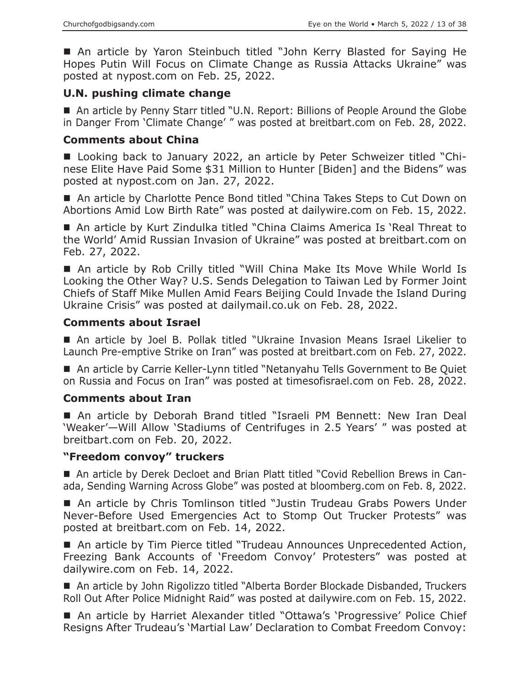An article by Yaron Steinbuch titled "John Kerry Blasted for Saying He Hopes Putin Will Focus on Climate Change as Russia Attacks Ukraine" was posted at nypost.com on Feb. 25, 2022.

## **U.N. pushing climate change**

■ An article by Penny Starr titled "U.N. Report: Billions of People Around the Globe in Danger From 'Climate Change' " was posted at breitbart.com on Feb. 28, 2022.

## **Comments about China**

■ Looking back to January 2022, an article by Peter Schweizer titled "Chinese Elite Have Paid Some \$31 Million to Hunter [Biden] and the Bidens" was posted at nypost.com on Jan. 27, 2022.

■ An article by Charlotte Pence Bond titled "China Takes Steps to Cut Down on Abortions Amid Low Birth Rate" was posted at dailywire.com on Feb. 15, 2022.

■ An article by Kurt Zindulka titled "China Claims America Is 'Real Threat to the World' Amid Russian Invasion of Ukraine" was posted at breitbart.com on Feb. 27, 2022.

■ An article by Rob Crilly titled "Will China Make Its Move While World Is Looking the Other Way? U.S. Sends Delegation to Taiwan Led by Former Joint Chiefs of Staff Mike Mullen Amid Fears Beijing Could Invade the Island During Ukraine Crisis" was posted at dailymail.co.uk on Feb. 28, 2022.

# **Comments about Israel**

 An article by Joel B. Pollak titled "Ukraine Invasion Means Israel Likelier to Launch Pre-emptive Strike on Iran" was posted at breitbart.com on Feb. 27, 2022.

■ An article by Carrie Keller-Lynn titled "Netanyahu Tells Government to Be Quiet on Russia and Focus on Iran" was posted at timesofisrael.com on Feb. 28, 2022.

# **Comments about Iran**

 An article by Deborah Brand titled "Israeli PM Bennett: New Iran Deal 'Weaker'—Will Allow 'Stadiums of Centrifuges in 2.5 Years' " was posted at breitbart.com on Feb. 20, 2022.

## **"Freedom convoy" truckers**

 An article by Derek Decloet and Brian Platt titled "Covid Rebellion Brews in Canada, Sending Warning Across Globe" was posted at bloomberg.com on Feb. 8, 2022.

■ An article by Chris Tomlinson titled "Justin Trudeau Grabs Powers Under Never-Before Used Emergencies Act to Stomp Out Trucker Protests" was posted at breitbart.com on Feb. 14, 2022.

■ An article by Tim Pierce titled "Trudeau Announces Unprecedented Action, Freezing Bank Accounts of 'Freedom Convoy' Protesters" was posted at dailywire.com on Feb. 14, 2022.

■ An article by John Rigolizzo titled "Alberta Border Blockade Disbanded, Truckers Roll Out After Police Midnight Raid" was posted at dailywire.com on Feb. 15, 2022.

■ An article by Harriet Alexander titled "Ottawa's 'Progressive' Police Chief Resigns After Trudeau's 'Martial Law' Declaration to Combat Freedom Convoy: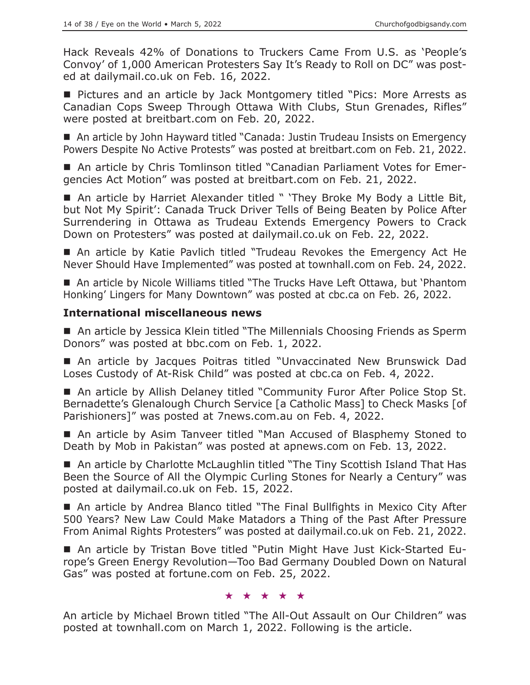Hack Reveals 42% of Donations to Truckers Came From U.S. as 'People's Convoy' of 1,000 American Protesters Say It's Ready to Roll on DC" was posted at dailymail.co.uk on Feb. 16, 2022.

■ Pictures and an article by Jack Montgomery titled "Pics: More Arrests as Canadian Cops Sweep Through Ottawa With Clubs, Stun Grenades, Rifles" were posted at breitbart.com on Feb. 20, 2022.

■ An article by John Hayward titled "Canada: Justin Trudeau Insists on Emergency Powers Despite No Active Protests" was posted at breitbart.com on Feb. 21, 2022.

■ An article by Chris Tomlinson titled "Canadian Parliament Votes for Emergencies Act Motion" was posted at breitbart.com on Feb. 21, 2022.

■ An article by Harriet Alexander titled " 'They Broke My Body a Little Bit, but Not My Spirit': Canada Truck Driver Tells of Being Beaten by Police After Surrendering in Ottawa as Trudeau Extends Emergency Powers to Crack Down on Protesters" was posted at dailymail.co.uk on Feb. 22, 2022.

 An article by Katie Pavlich titled "Trudeau Revokes the Emergency Act He Never Should Have Implemented" was posted at townhall.com on Feb. 24, 2022.

■ An article by Nicole Williams titled "The Trucks Have Left Ottawa, but 'Phantom Honking' Lingers for Many Downtown" was posted at cbc.ca on Feb. 26, 2022.

## **International miscellaneous news**

■ An article by Jessica Klein titled "The Millennials Choosing Friends as Sperm Donors" was posted at bbc.com on Feb. 1, 2022.

■ An article by Jacques Poitras titled "Unvaccinated New Brunswick Dad Loses Custody of At-Risk Child" was posted at cbc.ca on Feb. 4, 2022.

■ An article by Allish Delaney titled "Community Furor After Police Stop St. Bernadette's Glenalough Church Service [a Catholic Mass] to Check Masks [of Parishioners]" was posted at 7news.com.au on Feb. 4, 2022.

■ An article by Asim Tanveer titled "Man Accused of Blasphemy Stoned to Death by Mob in Pakistan" was posted at apnews.com on Feb. 13, 2022.

■ An article by Charlotte McLaughlin titled "The Tiny Scottish Island That Has Been the Source of All the Olympic Curling Stones for Nearly a Century" was posted at dailymail.co.uk on Feb. 15, 2022.

■ An article by Andrea Blanco titled "The Final Bullfights in Mexico City After 500 Years? New Law Could Make Matadors a Thing of the Past After Pressure From Animal Rights Protesters" was posted at dailymail.co.uk on Feb. 21, 2022.

 An article by Tristan Bove titled "Putin Might Have Just Kick-Started Europe's Green Energy Revolution—Too Bad Germany Doubled Down on Natural Gas" was posted at fortune.com on Feb. 25, 2022.

#### ★★★★★

An article by Michael Brown titled "The All-Out Assault on Our Children" was posted at townhall.com on March 1, 2022. Following is the article.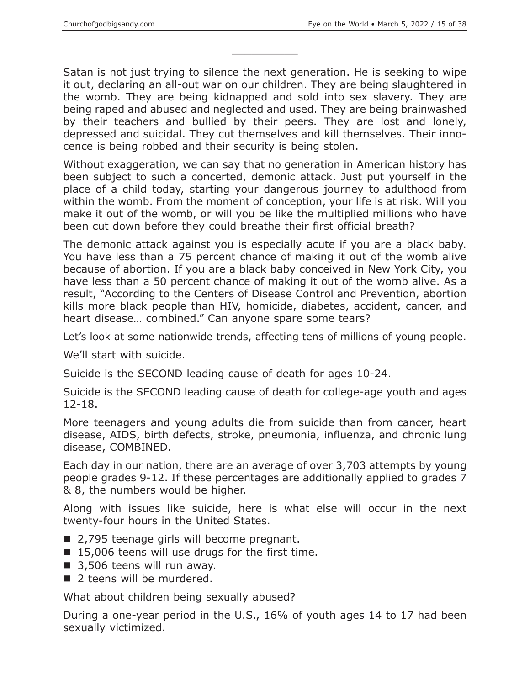Satan is not just trying to silence the next generation. He is seeking to wipe it out, declaring an all-out war on our children. They are being slaughtered in the womb. They are being kidnapped and sold into sex slavery. They are being raped and abused and neglected and used. They are being brainwashed by their teachers and bullied by their peers. They are lost and lonely, depressed and suicidal. They cut themselves and kill themselves. Their innocence is being robbed and their security is being stolen.

 $\overline{\phantom{a}}$  , where  $\overline{\phantom{a}}$ 

Without exaggeration, we can say that no generation in American history has been subject to such a concerted, demonic attack. Just put yourself in the place of a child today, starting your dangerous journey to adulthood from within the womb. From the moment of conception, your life is at risk. Will you make it out of the womb, or will you be like the multiplied millions who have been cut down before they could breathe their first official breath?

The demonic attack against you is especially acute if you are a black baby. You have less than a 75 percent chance of making it out of the womb alive because of abortion. If you are a black baby conceived in New York City, you have less than a 50 percent chance of making it out of the womb alive. As a result, "According to the Centers of Disease Control and Prevention, abortion kills more black people than HIV, homicide, diabetes, accident, cancer, and heart disease… combined." Can anyone spare some tears?

Let's look at some nationwide trends, affecting tens of millions of young people.

We'll start with suicide.

Suicide is the SECOND leading cause of death for ages 10-24.

Suicide is the SECOND leading cause of death for college-age youth and ages 12-18.

More teenagers and young adults die from suicide than from cancer, heart disease, AIDS, birth defects, stroke, pneumonia, influenza, and chronic lung disease, COMBINED.

Each day in our nation, there are an average of over 3,703 attempts by young people grades 9-12. If these percentages are additionally applied to grades 7 & 8, the numbers would be higher.

Along with issues like suicide, here is what else will occur in the next twenty-four hours in the United States.

- 2,795 teenage girls will become pregnant.
- 15,006 teens will use drugs for the first time.
- 3,506 teens will run away.
- 2 teens will be murdered.

What about children being sexually abused?

During a one-year period in the U.S., 16% of youth ages 14 to 17 had been sexually victimized.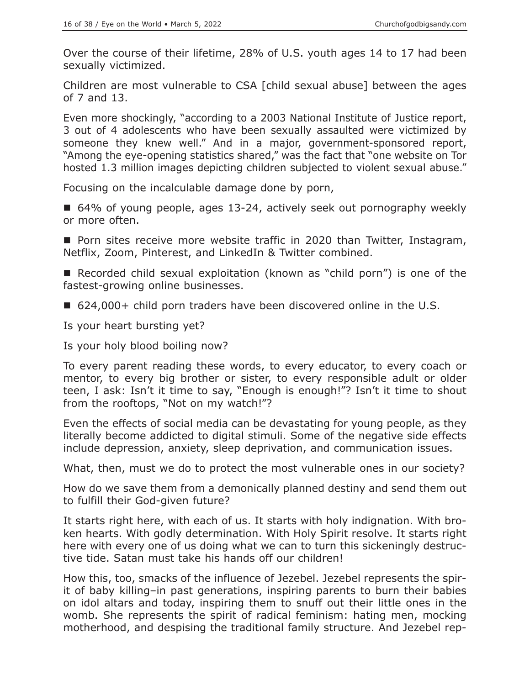Over the course of their lifetime, 28% of U.S. youth ages 14 to 17 had been sexually victimized.

Children are most vulnerable to CSA [child sexual abuse] between the ages of 7 and 13.

Even more shockingly, "according to a 2003 National Institute of Justice report, 3 out of 4 adolescents who have been sexually assaulted were victimized by someone they knew well." And in a major, government-sponsored report, "Among the eye-opening statistics shared," was the fact that "one website on Tor hosted 1.3 million images depicting children subjected to violent sexual abuse."

Focusing on the incalculable damage done by porn,

■ 64% of young people, ages 13-24, actively seek out pornography weekly or more often.

**Porn sites receive more website traffic in 2020 than Twitter, Instagram,** Netflix, Zoom, Pinterest, and LinkedIn & Twitter combined.

■ Recorded child sexual exploitation (known as "child porn") is one of the fastest-growing online businesses.

■ 624,000+ child porn traders have been discovered online in the U.S.

Is your heart bursting yet?

Is your holy blood boiling now?

To every parent reading these words, to every educator, to every coach or mentor, to every big brother or sister, to every responsible adult or older teen, I ask: Isn't it time to say, "Enough is enough!"? Isn't it time to shout from the rooftops, "Not on my watch!"?

Even the effects of social media can be devastating for young people, as they literally become addicted to digital stimuli. Some of the negative side effects include depression, anxiety, sleep deprivation, and communication issues.

What, then, must we do to protect the most vulnerable ones in our society?

How do we save them from a demonically planned destiny and send them out to fulfill their God-given future?

It starts right here, with each of us. It starts with holy indignation. With broken hearts. With godly determination. With Holy Spirit resolve. It starts right here with every one of us doing what we can to turn this sickeningly destructive tide. Satan must take his hands off our children!

How this, too, smacks of the influence of Jezebel. Jezebel represents the spirit of baby killing–in past generations, inspiring parents to burn their babies on idol altars and today, inspiring them to snuff out their little ones in the womb. She represents the spirit of radical feminism: hating men, mocking motherhood, and despising the traditional family structure. And Jezebel rep-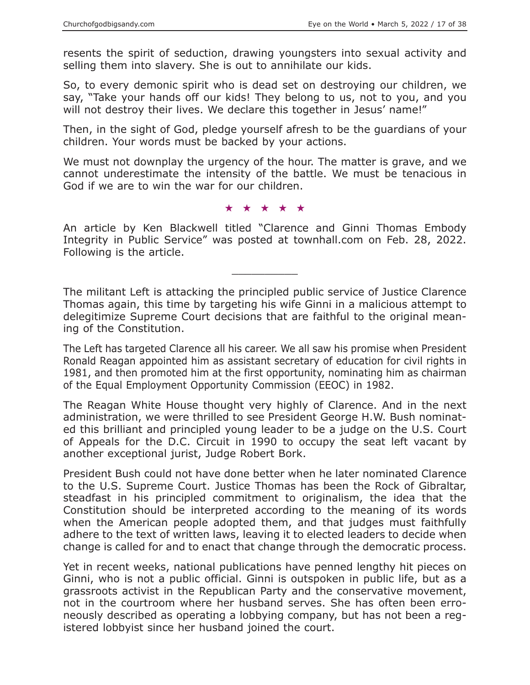resents the spirit of seduction, drawing youngsters into sexual activity and selling them into slavery. She is out to annihilate our kids.

So, to every demonic spirit who is dead set on destroying our children, we say, "Take your hands off our kids! They belong to us, not to you, and you will not destroy their lives. We declare this together in Jesus' name!"

Then, in the sight of God, pledge yourself afresh to be the guardians of your children. Your words must be backed by your actions.

We must not downplay the urgency of the hour. The matter is grave, and we cannot underestimate the intensity of the battle. We must be tenacious in God if we are to win the war for our children.

★★★★★

An article by Ken Blackwell titled "Clarence and Ginni Thomas Embody Integrity in Public Service" was posted at townhall.com on Feb. 28, 2022. Following is the article.

 $\overline{\phantom{a}}$  , where  $\overline{\phantom{a}}$ 

The militant Left is attacking the principled public service of Justice Clarence Thomas again, this time by targeting his wife Ginni in a malicious attempt to delegitimize Supreme Court decisions that are faithful to the original meaning of the Constitution.

The Left has targeted Clarence all his career. We all saw his promise when President Ronald Reagan appointed him as assistant secretary of education for civil rights in 1981, and then promoted him at the first opportunity, nominating him as chairman of the Equal Employment Opportunity Commission (EEOC) in 1982.

The Reagan White House thought very highly of Clarence. And in the next administration, we were thrilled to see President George H.W. Bush nominated this brilliant and principled young leader to be a judge on the U.S. Court of Appeals for the D.C. Circuit in 1990 to occupy the seat left vacant by another exceptional jurist, Judge Robert Bork.

President Bush could not have done better when he later nominated Clarence to the U.S. Supreme Court. Justice Thomas has been the Rock of Gibraltar, steadfast in his principled commitment to originalism, the idea that the Constitution should be interpreted according to the meaning of its words when the American people adopted them, and that judges must faithfully adhere to the text of written laws, leaving it to elected leaders to decide when change is called for and to enact that change through the democratic process.

Yet in recent weeks, national publications have penned lengthy hit pieces on Ginni, who is not a public official. Ginni is outspoken in public life, but as a grassroots activist in the Republican Party and the conservative movement, not in the courtroom where her husband serves. She has often been erroneously described as operating a lobbying company, but has not been a registered lobbyist since her husband joined the court.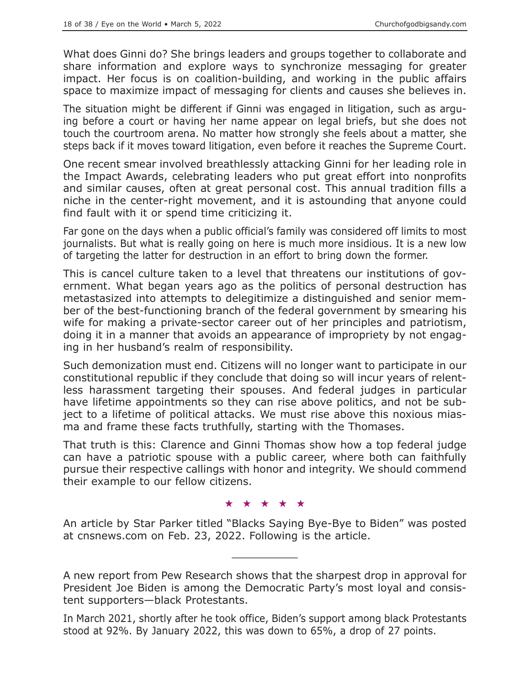What does Ginni do? She brings leaders and groups together to collaborate and share information and explore ways to synchronize messaging for greater impact. Her focus is on coalition-building, and working in the public affairs space to maximize impact of messaging for clients and causes she believes in.

The situation might be different if Ginni was engaged in litigation, such as arguing before a court or having her name appear on legal briefs, but she does not touch the courtroom arena. No matter how strongly she feels about a matter, she steps back if it moves toward litigation, even before it reaches the Supreme Court.

One recent smear involved breathlessly attacking Ginni for her leading role in the Impact Awards, celebrating leaders who put great effort into nonprofits and similar causes, often at great personal cost. This annual tradition fills a niche in the center-right movement, and it is astounding that anyone could find fault with it or spend time criticizing it.

Far gone on the days when a public official's family was considered off limits to most journalists. But what is really going on here is much more insidious. It is a new low of targeting the latter for destruction in an effort to bring down the former.

This is cancel culture taken to a level that threatens our institutions of government. What began years ago as the politics of personal destruction has metastasized into attempts to delegitimize a distinguished and senior member of the best-functioning branch of the federal government by smearing his wife for making a private-sector career out of her principles and patriotism, doing it in a manner that avoids an appearance of impropriety by not engaging in her husband's realm of responsibility.

Such demonization must end. Citizens will no longer want to participate in our constitutional republic if they conclude that doing so will incur years of relentless harassment targeting their spouses. And federal judges in particular have lifetime appointments so they can rise above politics, and not be subject to a lifetime of political attacks. We must rise above this noxious miasma and frame these facts truthfully, starting with the Thomases.

That truth is this: Clarence and Ginni Thomas show how a top federal judge can have a patriotic spouse with a public career, where both can faithfully pursue their respective callings with honor and integrity. We should commend their example to our fellow citizens.

#### ★★★★★

An article by Star Parker titled "Blacks Saying Bye-Bye to Biden" was posted at cnsnews.com on Feb. 23, 2022. Following is the article.

 $\overline{\phantom{a}}$  , where  $\overline{\phantom{a}}$ 

A new report from Pew Research shows that the sharpest drop in approval for President Joe Biden is among the Democratic Party's most loyal and consistent supporters—black Protestants.

In March 2021, shortly after he took office, Biden's support among black Protestants stood at 92%. By January 2022, this was down to 65%, a drop of 27 points.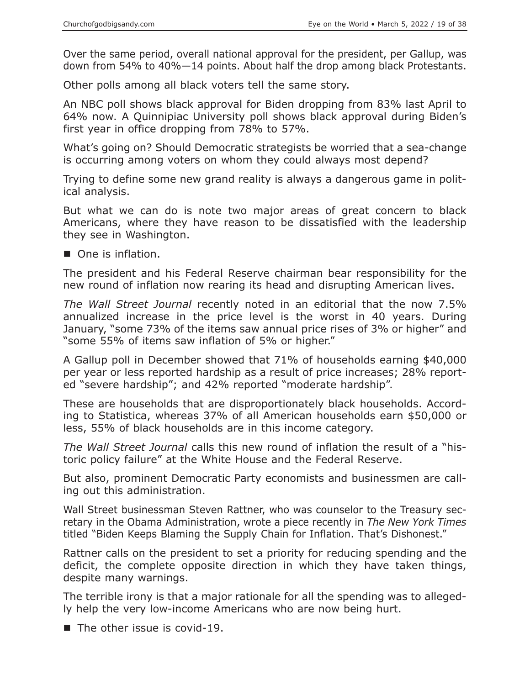Over the same period, overall national approval for the president, per Gallup, was down from 54% to 40%—14 points. About half the drop among black Protestants.

Other polls among all black voters tell the same story.

An NBC poll shows black approval for Biden dropping from 83% last April to 64% now. A Quinnipiac University poll shows black approval during Biden's first year in office dropping from 78% to 57%.

What's going on? Should Democratic strategists be worried that a sea-change is occurring among voters on whom they could always most depend?

Trying to define some new grand reality is always a dangerous game in political analysis.

But what we can do is note two major areas of great concern to black Americans, where they have reason to be dissatisfied with the leadership they see in Washington.

One is inflation.

The president and his Federal Reserve chairman bear responsibility for the new round of inflation now rearing its head and disrupting American lives.

*The Wall Street Journal* recently noted in an editorial that the now 7.5% annualized increase in the price level is the worst in 40 years. During January, "some 73% of the items saw annual price rises of 3% or higher" and "some 55% of items saw inflation of 5% or higher."

A Gallup poll in December showed that 71% of households earning \$40,000 per year or less reported hardship as a result of price increases; 28% reported "severe hardship"; and 42% reported "moderate hardship".

These are households that are disproportionately black households. According to Statistica, whereas 37% of all American households earn \$50,000 or less, 55% of black households are in this income category.

*The Wall Street Journal* calls this new round of inflation the result of a "historic policy failure" at the White House and the Federal Reserve.

But also, prominent Democratic Party economists and businessmen are calling out this administration.

Wall Street businessman Steven Rattner, who was counselor to the Treasury secretary in the Obama Administration, wrote a piece recently in *The New York Times* titled "Biden Keeps Blaming the Supply Chain for Inflation. That's Dishonest."

Rattner calls on the president to set a priority for reducing spending and the deficit, the complete opposite direction in which they have taken things, despite many warnings.

The terrible irony is that a major rationale for all the spending was to allegedly help the very low-income Americans who are now being hurt.

 $\blacksquare$  The other issue is covid-19.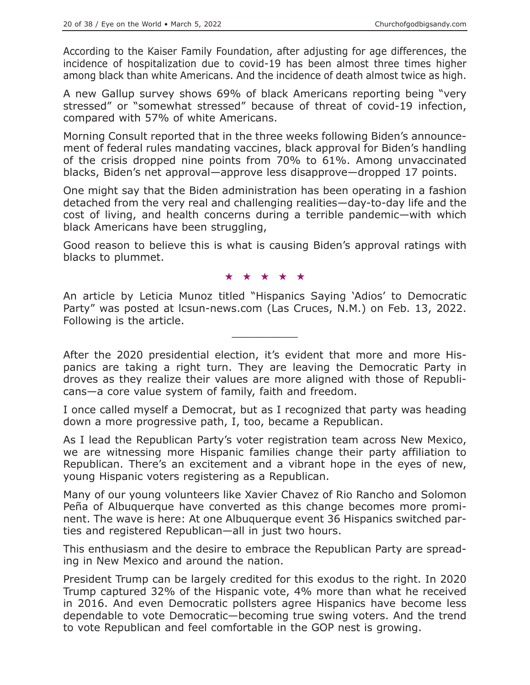According to the Kaiser Family Foundation, after adjusting for age differences, the incidence of hospitalization due to covid-19 has been almost three times higher among black than white Americans. And the incidence of death almost twice as high.

A new Gallup survey shows 69% of black Americans reporting being "very stressed" or "somewhat stressed" because of threat of covid-19 infection, compared with 57% of white Americans.

Morning Consult reported that in the three weeks following Biden's announcement of federal rules mandating vaccines, black approval for Biden's handling of the crisis dropped nine points from 70% to 61%. Among unvaccinated blacks, Biden's net approval—approve less disapprove—dropped 17 points.

One might say that the Biden administration has been operating in a fashion detached from the very real and challenging realities—day-to-day life and the cost of living, and health concerns during a terrible pandemic—with which black Americans have been struggling,

Good reason to believe this is what is causing Biden's approval ratings with blacks to plummet.

#### ★★★★★

An article by Leticia Munoz titled "Hispanics Saying 'Adios' to Democratic Party" was posted at lcsun-news.com (Las Cruces, N.M.) on Feb. 13, 2022. Following is the article.

 $\overline{\phantom{a}}$  , where  $\overline{\phantom{a}}$ 

After the 2020 presidential election, it's evident that more and more Hispanics are taking a right turn. They are leaving the Democratic Party in droves as they realize their values are more aligned with those of Republicans—a core value system of family, faith and freedom.

I once called myself a Democrat, but as I recognized that party was heading down a more progressive path, I, too, became a Republican.

As I lead the Republican Party's voter registration team across New Mexico, we are witnessing more Hispanic families change their party affiliation to Republican. There's an excitement and a vibrant hope in the eyes of new, young Hispanic voters registering as a Republican.

Many of our young volunteers like Xavier Chavez of Rio Rancho and Solomon Peña of Albuquerque have converted as this change becomes more prominent. The wave is here: At one Albuquerque event 36 Hispanics switched parties and registered Republican—all in just two hours.

This enthusiasm and the desire to embrace the Republican Party are spreading in New Mexico and around the nation.

President Trump can be largely credited for this exodus to the right. In 2020 Trump captured 32% of the Hispanic vote, 4% more than what he received in 2016. And even Democratic pollsters agree Hispanics have become less dependable to vote Democratic—becoming true swing voters. And the trend to vote Republican and feel comfortable in the GOP nest is growing.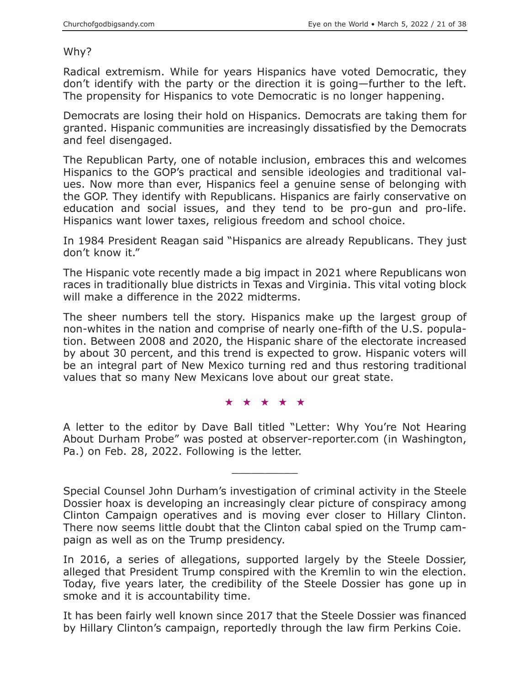#### Why?

Radical extremism. While for years Hispanics have voted Democratic, they don't identify with the party or the direction it is going—further to the left. The propensity for Hispanics to vote Democratic is no longer happening.

Democrats are losing their hold on Hispanics. Democrats are taking them for granted. Hispanic communities are increasingly dissatisfied by the Democrats and feel disengaged.

The Republican Party, one of notable inclusion, embraces this and welcomes Hispanics to the GOP's practical and sensible ideologies and traditional values. Now more than ever, Hispanics feel a genuine sense of belonging with the GOP. They identify with Republicans. Hispanics are fairly conservative on education and social issues, and they tend to be pro-gun and pro-life. Hispanics want lower taxes, religious freedom and school choice.

In 1984 President Reagan said "Hispanics are already Republicans. They just don't know it."

The Hispanic vote recently made a big impact in 2021 where Republicans won races in traditionally blue districts in Texas and Virginia. This vital voting block will make a difference in the 2022 midterms.

The sheer numbers tell the story. Hispanics make up the largest group of non-whites in the nation and comprise of nearly one-fifth of the U.S. population. Between 2008 and 2020, the Hispanic share of the electorate increased by about 30 percent, and this trend is expected to grow. Hispanic voters will be an integral part of New Mexico turning red and thus restoring traditional values that so many New Mexicans love about our great state.

★★★★★

A letter to the editor by Dave Ball titled "Letter: Why You're Not Hearing About Durham Probe" was posted at observer-reporter.com (in Washington, Pa.) on Feb. 28, 2022. Following is the letter.

 $\overline{\phantom{a}}$  , where  $\overline{\phantom{a}}$ 

Special Counsel John Durham's investigation of criminal activity in the Steele Dossier hoax is developing an increasingly clear picture of conspiracy among Clinton Campaign operatives and is moving ever closer to Hillary Clinton. There now seems little doubt that the Clinton cabal spied on the Trump campaign as well as on the Trump presidency.

In 2016, a series of allegations, supported largely by the Steele Dossier, alleged that President Trump conspired with the Kremlin to win the election. Today, five years later, the credibility of the Steele Dossier has gone up in smoke and it is accountability time.

It has been fairly well known since 2017 that the Steele Dossier was financed by Hillary Clinton's campaign, reportedly through the law firm Perkins Coie.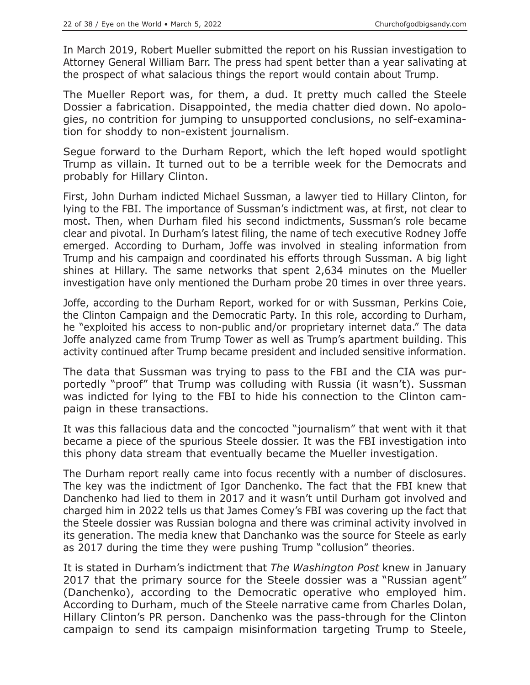In March 2019, Robert Mueller submitted the report on his Russian investigation to Attorney General William Barr. The press had spent better than a year salivating at the prospect of what salacious things the report would contain about Trump.

The Mueller Report was, for them, a dud. It pretty much called the Steele Dossier a fabrication. Disappointed, the media chatter died down. No apologies, no contrition for jumping to unsupported conclusions, no self-examination for shoddy to non-existent journalism.

Segue forward to the Durham Report, which the left hoped would spotlight Trump as villain. It turned out to be a terrible week for the Democrats and probably for Hillary Clinton.

First, John Durham indicted Michael Sussman, a lawyer tied to Hillary Clinton, for lying to the FBI. The importance of Sussman's indictment was, at first, not clear to most. Then, when Durham filed his second indictments, Sussman's role became clear and pivotal. In Durham's latest filing, the name of tech executive Rodney Joffe emerged. According to Durham, Joffe was involved in stealing information from Trump and his campaign and coordinated his efforts through Sussman. A big light shines at Hillary. The same networks that spent 2,634 minutes on the Mueller investigation have only mentioned the Durham probe 20 times in over three years.

Joffe, according to the Durham Report, worked for or with Sussman, Perkins Coie, the Clinton Campaign and the Democratic Party. In this role, according to Durham, he "exploited his access to non-public and/or proprietary internet data." The data Joffe analyzed came from Trump Tower as well as Trump's apartment building. This activity continued after Trump became president and included sensitive information.

The data that Sussman was trying to pass to the FBI and the CIA was purportedly "proof" that Trump was colluding with Russia (it wasn't). Sussman was indicted for lying to the FBI to hide his connection to the Clinton campaign in these transactions.

It was this fallacious data and the concocted "journalism" that went with it that became a piece of the spurious Steele dossier. It was the FBI investigation into this phony data stream that eventually became the Mueller investigation.

The Durham report really came into focus recently with a number of disclosures. The key was the indictment of Igor Danchenko. The fact that the FBI knew that Danchenko had lied to them in 2017 and it wasn't until Durham got involved and charged him in 2022 tells us that James Comey's FBI was covering up the fact that the Steele dossier was Russian bologna and there was criminal activity involved in its generation. The media knew that Danchanko was the source for Steele as early as 2017 during the time they were pushing Trump "collusion" theories.

It is stated in Durham's indictment that *The Washington Post* knew in January 2017 that the primary source for the Steele dossier was a "Russian agent" (Danchenko), according to the Democratic operative who employed him. According to Durham, much of the Steele narrative came from Charles Dolan, Hillary Clinton's PR person. Danchenko was the pass-through for the Clinton campaign to send its campaign misinformation targeting Trump to Steele,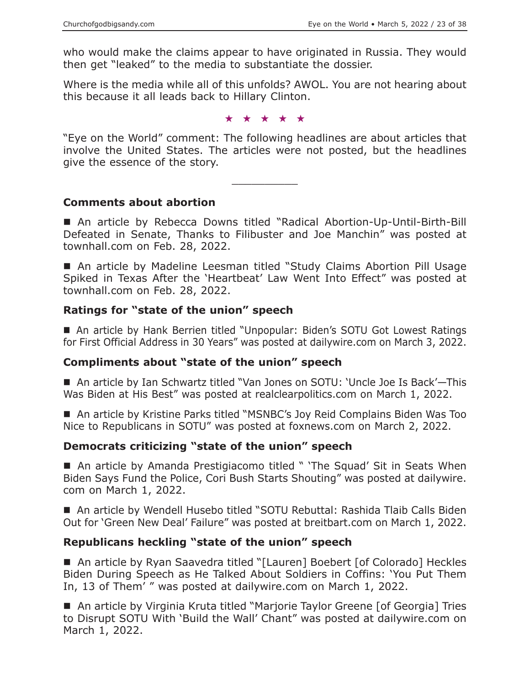who would make the claims appear to have originated in Russia. They would then get "leaked" to the media to substantiate the dossier.

Where is the media while all of this unfolds? AWOL. You are not hearing about this because it all leads back to Hillary Clinton.

★★★★★

"Eye on the World" comment: The following headlines are about articles that involve the United States. The articles were not posted, but the headlines give the essence of the story.

 $\overline{\phantom{a}}$  , where  $\overline{\phantom{a}}$ 

#### **Comments about abortion**

 An article by Rebecca Downs titled "Radical Abortion-Up-Until-Birth-Bill Defeated in Senate, Thanks to Filibuster and Joe Manchin" was posted at townhall.com on Feb. 28, 2022.

■ An article by Madeline Leesman titled "Study Claims Abortion Pill Usage Spiked in Texas After the 'Heartbeat' Law Went Into Effect" was posted at townhall.com on Feb. 28, 2022.

#### **Ratings for "state of the union" speech**

■ An article by Hank Berrien titled "Unpopular: Biden's SOTU Got Lowest Ratings for First Official Address in 30 Years" was posted at dailywire.com on March 3, 2022.

#### **Compliments about "state of the union" speech**

■ An article by Ian Schwartz titled "Van Jones on SOTU: 'Uncle Joe Is Back'—This Was Biden at His Best" was posted at realclearpolitics.com on March 1, 2022.

 An article by Kristine Parks titled "MSNBC's Joy Reid Complains Biden Was Too Nice to Republicans in SOTU" was posted at foxnews.com on March 2, 2022.

#### **Democrats criticizing "state of the union" speech**

■ An article by Amanda Prestigiacomo titled " 'The Squad' Sit in Seats When Biden Says Fund the Police, Cori Bush Starts Shouting" was posted at dailywire. com on March 1, 2022.

■ An article by Wendell Husebo titled "SOTU Rebuttal: Rashida Tlaib Calls Biden Out for 'Green New Deal' Failure" was posted at breitbart.com on March 1, 2022.

#### **Republicans heckling "state of the union" speech**

■ An article by Ryan Saavedra titled "[Lauren] Boebert [of Colorado] Heckles Biden During Speech as He Talked About Soldiers in Coffins: 'You Put Them In, 13 of Them' " was posted at dailywire.com on March 1, 2022.

■ An article by Virginia Kruta titled "Marjorie Taylor Greene [of Georgia] Tries to Disrupt SOTU With 'Build the Wall' Chant" was posted at dailywire.com on March 1, 2022.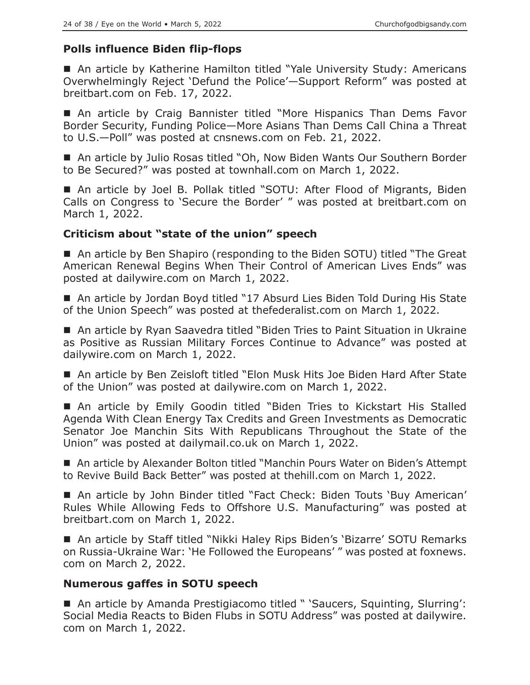# **Polls influence Biden flip-flops**

■ An article by Katherine Hamilton titled "Yale University Study: Americans Overwhelmingly Reject 'Defund the Police'—Support Reform" was posted at breitbart.com on Feb. 17, 2022.

■ An article by Craig Bannister titled "More Hispanics Than Dems Favor Border Security, Funding Police—More Asians Than Dems Call China a Threat to U.S.—Poll" was posted at cnsnews.com on Feb. 21, 2022.

■ An article by Julio Rosas titled "Oh, Now Biden Wants Our Southern Border to Be Secured?" was posted at townhall.com on March 1, 2022.

 An article by Joel B. Pollak titled "SOTU: After Flood of Migrants, Biden Calls on Congress to 'Secure the Border' " was posted at breitbart.com on March 1, 2022.

## **Criticism about "state of the union" speech**

■ An article by Ben Shapiro (responding to the Biden SOTU) titled "The Great American Renewal Begins When Their Control of American Lives Ends" was posted at dailywire.com on March 1, 2022.

■ An article by Jordan Boyd titled "17 Absurd Lies Biden Told During His State of the Union Speech" was posted at thefederalist.com on March 1, 2022.

■ An article by Ryan Saavedra titled "Biden Tries to Paint Situation in Ukraine as Positive as Russian Military Forces Continue to Advance" was posted at dailywire.com on March 1, 2022.

 An article by Ben Zeisloft titled "Elon Musk Hits Joe Biden Hard After State of the Union" was posted at dailywire.com on March 1, 2022.

■ An article by Emily Goodin titled "Biden Tries to Kickstart His Stalled Agenda With Clean Energy Tax Credits and Green Investments as Democratic Senator Joe Manchin Sits With Republicans Throughout the State of the Union" was posted at dailymail.co.uk on March 1, 2022.

■ An article by Alexander Bolton titled "Manchin Pours Water on Biden's Attempt to Revive Build Back Better" was posted at thehill.com on March 1, 2022.

■ An article by John Binder titled "Fact Check: Biden Touts 'Buy American' Rules While Allowing Feds to Offshore U.S. Manufacturing" was posted at breitbart.com on March 1, 2022.

■ An article by Staff titled "Nikki Haley Rips Biden's 'Bizarre' SOTU Remarks on Russia-Ukraine War: 'He Followed the Europeans' " was posted at foxnews. com on March 2, 2022.

## **Numerous gaffes in SOTU speech**

■ An article by Amanda Prestigiacomo titled " 'Saucers, Squinting, Slurring': Social Media Reacts to Biden Flubs in SOTU Address" was posted at dailywire. com on March 1, 2022.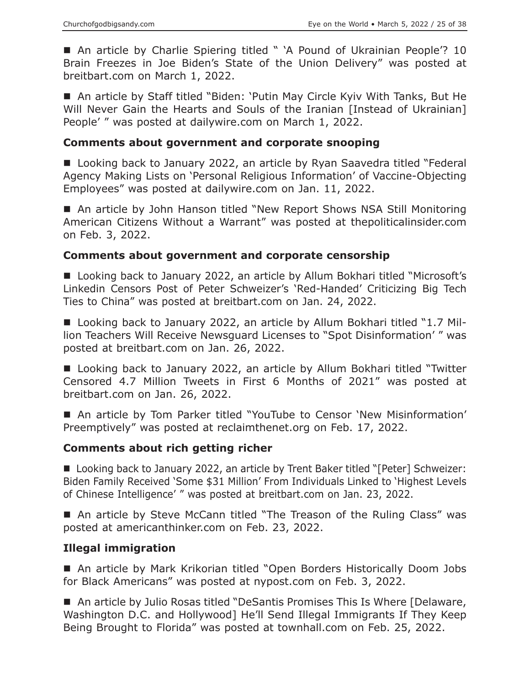■ An article by Charlie Spiering titled " 'A Pound of Ukrainian People'? 10 Brain Freezes in Joe Biden's State of the Union Delivery" was posted at breitbart.com on March 1, 2022.

 An article by Staff titled "Biden: 'Putin May Circle Kyiv With Tanks, But He Will Never Gain the Hearts and Souls of the Iranian [Instead of Ukrainian] People' " was posted at dailywire.com on March 1, 2022.

## **Comments about government and corporate snooping**

■ Looking back to January 2022, an article by Ryan Saavedra titled "Federal Agency Making Lists on 'Personal Religious Information' of Vaccine-Objecting Employees" was posted at dailywire.com on Jan. 11, 2022.

■ An article by John Hanson titled "New Report Shows NSA Still Monitoring American Citizens Without a Warrant" was posted at thepoliticalinsider.com on Feb. 3, 2022.

## **Comments about government and corporate censorship**

■ Looking back to January 2022, an article by Allum Bokhari titled "Microsoft's Linkedin Censors Post of Peter Schweizer's 'Red-Handed' Criticizing Big Tech Ties to China" was posted at breitbart.com on Jan. 24, 2022.

■ Looking back to January 2022, an article by Allum Bokhari titled "1.7 Million Teachers Will Receive Newsguard Licenses to "Spot Disinformation' " was posted at breitbart.com on Jan. 26, 2022.

■ Looking back to January 2022, an article by Allum Bokhari titled "Twitter Censored 4.7 Million Tweets in First 6 Months of 2021" was posted at breitbart.com on Jan. 26, 2022.

 An article by Tom Parker titled "YouTube to Censor 'New Misinformation' Preemptively" was posted at reclaimthenet.org on Feb. 17, 2022.

## **Comments about rich getting richer**

■ Looking back to January 2022, an article by Trent Baker titled "[Peter] Schweizer: Biden Family Received 'Some \$31 Million' From Individuals Linked to 'Highest Levels of Chinese Intelligence' " was posted at breitbart.com on Jan. 23, 2022.

■ An article by Steve McCann titled "The Treason of the Ruling Class" was posted at americanthinker.com on Feb. 23, 2022.

# **Illegal immigration**

■ An article by Mark Krikorian titled "Open Borders Historically Doom Jobs for Black Americans" was posted at nypost.com on Feb. 3, 2022.

■ An article by Julio Rosas titled "DeSantis Promises This Is Where [Delaware, Washington D.C. and Hollywood] He'll Send Illegal Immigrants If They Keep Being Brought to Florida" was posted at townhall.com on Feb. 25, 2022.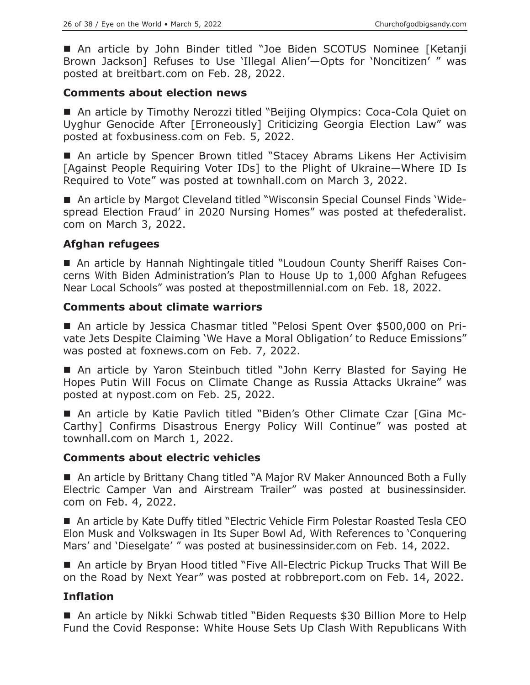An article by John Binder titled "Joe Biden SCOTUS Nominee [Ketanji Brown Jackson] Refuses to Use 'Illegal Alien'—Opts for 'Noncitizen' " was posted at breitbart.com on Feb. 28, 2022.

## **Comments about election news**

■ An article by Timothy Nerozzi titled "Beijing Olympics: Coca-Cola Quiet on Uyghur Genocide After [Erroneously] Criticizing Georgia Election Law" was posted at foxbusiness.com on Feb. 5, 2022.

■ An article by Spencer Brown titled "Stacey Abrams Likens Her Activisim [Against People Requiring Voter IDs] to the Plight of Ukraine—Where ID Is Required to Vote" was posted at townhall.com on March 3, 2022.

■ An article by Margot Cleveland titled "Wisconsin Special Counsel Finds 'Widespread Election Fraud' in 2020 Nursing Homes" was posted at thefederalist. com on March 3, 2022.

## **Afghan refugees**

 An article by Hannah Nightingale titled "Loudoun County Sheriff Raises Concerns With Biden Administration's Plan to House Up to 1,000 Afghan Refugees Near Local Schools" was posted at thepostmillennial.com on Feb. 18, 2022.

#### **Comments about climate warriors**

■ An article by Jessica Chasmar titled "Pelosi Spent Over \$500,000 on Private Jets Despite Claiming 'We Have a Moral Obligation' to Reduce Emissions" was posted at foxnews.com on Feb. 7, 2022.

 An article by Yaron Steinbuch titled "John Kerry Blasted for Saying He Hopes Putin Will Focus on Climate Change as Russia Attacks Ukraine" was posted at nypost.com on Feb. 25, 2022.

 An article by Katie Pavlich titled "Biden's Other Climate Czar [Gina Mc-Carthy] Confirms Disastrous Energy Policy Will Continue" was posted at townhall.com on March 1, 2022.

#### **Comments about electric vehicles**

■ An article by Brittany Chang titled "A Major RV Maker Announced Both a Fully Electric Camper Van and Airstream Trailer" was posted at businessinsider. com on Feb. 4, 2022.

 An article by Kate Duffy titled "Electric Vehicle Firm Polestar Roasted Tesla CEO Elon Musk and Volkswagen in Its Super Bowl Ad, With References to 'Conquering Mars' and 'Dieselgate' " was posted at businessinsider.com on Feb. 14, 2022.

■ An article by Bryan Hood titled "Five All-Electric Pickup Trucks That Will Be on the Road by Next Year" was posted at robbreport.com on Feb. 14, 2022.

## **Inflation**

■ An article by Nikki Schwab titled "Biden Requests \$30 Billion More to Help Fund the Covid Response: White House Sets Up Clash With Republicans With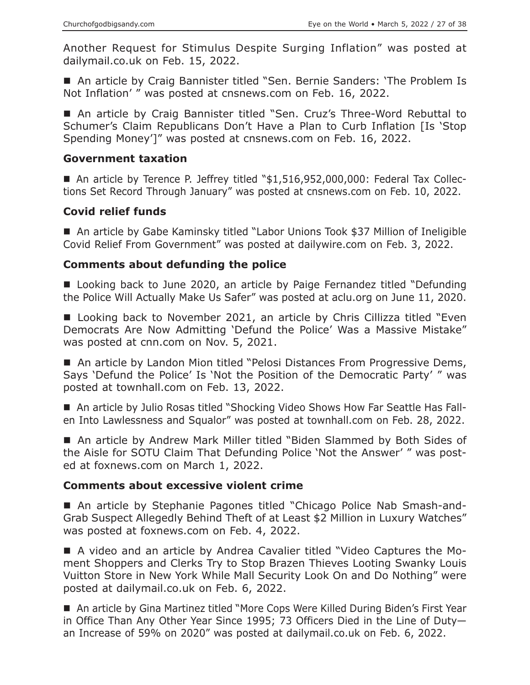Another Request for Stimulus Despite Surging Inflation" was posted at dailymail.co.uk on Feb. 15, 2022.

 An article by Craig Bannister titled "Sen. Bernie Sanders: 'The Problem Is Not Inflation' " was posted at cnsnews.com on Feb. 16, 2022.

■ An article by Craig Bannister titled "Sen. Cruz's Three-Word Rebuttal to Schumer's Claim Republicans Don't Have a Plan to Curb Inflation [Is 'Stop Spending Money']" was posted at cnsnews.com on Feb. 16, 2022.

#### **Government taxation**

 An article by Terence P. Jeffrey titled "\$1,516,952,000,000: Federal Tax Collections Set Record Through January" was posted at cnsnews.com on Feb. 10, 2022.

## **Covid relief funds**

■ An article by Gabe Kaminsky titled "Labor Unions Took \$37 Million of Ineligible Covid Relief From Government" was posted at dailywire.com on Feb. 3, 2022.

## **Comments about defunding the police**

■ Looking back to June 2020, an article by Paige Fernandez titled "Defunding the Police Will Actually Make Us Safer" was posted at aclu.org on June 11, 2020.

■ Looking back to November 2021, an article by Chris Cillizza titled "Even Democrats Are Now Admitting 'Defund the Police' Was a Massive Mistake" was posted at cnn.com on Nov. 5, 2021.

■ An article by Landon Mion titled "Pelosi Distances From Progressive Dems, Says 'Defund the Police' Is 'Not the Position of the Democratic Party' " was posted at townhall.com on Feb. 13, 2022.

■ An article by Julio Rosas titled "Shocking Video Shows How Far Seattle Has Fallen Into Lawlessness and Squalor" was posted at townhall.com on Feb. 28, 2022.

■ An article by Andrew Mark Miller titled "Biden Slammed by Both Sides of the Aisle for SOTU Claim That Defunding Police 'Not the Answer' " was posted at foxnews.com on March 1, 2022.

## **Comments about excessive violent crime**

■ An article by Stephanie Pagones titled "Chicago Police Nab Smash-and-Grab Suspect Allegedly Behind Theft of at Least \$2 Million in Luxury Watches" was posted at foxnews.com on Feb. 4, 2022.

 A video and an article by Andrea Cavalier titled "Video Captures the Moment Shoppers and Clerks Try to Stop Brazen Thieves Looting Swanky Louis Vuitton Store in New York While Mall Security Look On and Do Nothing" were posted at dailymail.co.uk on Feb. 6, 2022.

■ An article by Gina Martinez titled "More Cops Were Killed During Biden's First Year in Office Than Any Other Year Since 1995; 73 Officers Died in the Line of Duty an Increase of 59% on 2020" was posted at dailymail.co.uk on Feb. 6, 2022.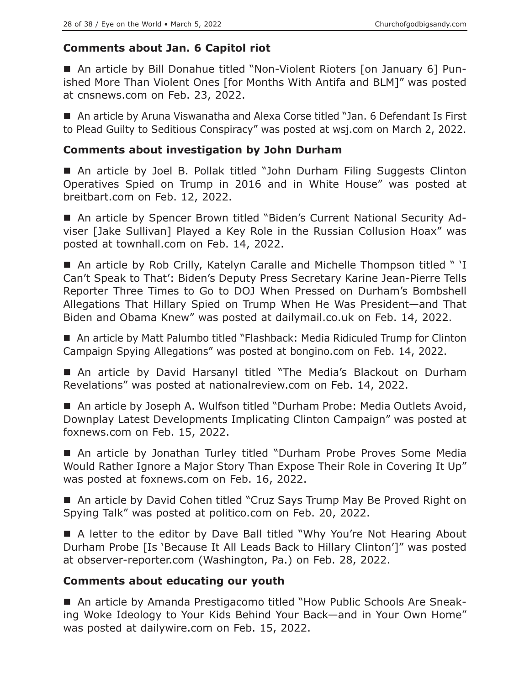# **Comments about Jan. 6 Capitol riot**

 An article by Bill Donahue titled "Non-Violent Rioters [on January 6] Punished More Than Violent Ones [for Months With Antifa and BLM]" was posted at cnsnews.com on Feb. 23, 2022.

■ An article by Aruna Viswanatha and Alexa Corse titled "Jan. 6 Defendant Is First to Plead Guilty to Seditious Conspiracy" was posted at wsj.com on March 2, 2022.

# **Comments about investigation by John Durham**

■ An article by Joel B. Pollak titled "John Durham Filing Suggests Clinton Operatives Spied on Trump in 2016 and in White House" was posted at breitbart.com on Feb. 12, 2022.

■ An article by Spencer Brown titled "Biden's Current National Security Adviser [Jake Sullivan] Played a Key Role in the Russian Collusion Hoax" was posted at townhall.com on Feb. 14, 2022.

■ An article by Rob Crilly, Katelyn Caralle and Michelle Thompson titled " 'I Can't Speak to That': Biden's Deputy Press Secretary Karine Jean-Pierre Tells Reporter Three Times to Go to DOJ When Pressed on Durham's Bombshell Allegations That Hillary Spied on Trump When He Was President—and That Biden and Obama Knew" was posted at dailymail.co.uk on Feb. 14, 2022.

■ An article by Matt Palumbo titled "Flashback: Media Ridiculed Trump for Clinton Campaign Spying Allegations" was posted at bongino.com on Feb. 14, 2022.

■ An article by David Harsanyl titled "The Media's Blackout on Durham Revelations" was posted at nationalreview.com on Feb. 14, 2022.

■ An article by Joseph A. Wulfson titled "Durham Probe: Media Outlets Avoid, Downplay Latest Developments Implicating Clinton Campaign" was posted at foxnews.com on Feb. 15, 2022.

■ An article by Jonathan Turley titled "Durham Probe Proves Some Media Would Rather Ignore a Major Story Than Expose Their Role in Covering It Up" was posted at foxnews.com on Feb. 16, 2022.

■ An article by David Cohen titled "Cruz Says Trump May Be Proved Right on Spying Talk" was posted at politico.com on Feb. 20, 2022.

■ A letter to the editor by Dave Ball titled "Why You're Not Hearing About Durham Probe [Is 'Because It All Leads Back to Hillary Clinton']" was posted at observer-reporter.com (Washington, Pa.) on Feb. 28, 2022.

# **Comments about educating our youth**

■ An article by Amanda Prestigacomo titled "How Public Schools Are Sneaking Woke Ideology to Your Kids Behind Your Back—and in Your Own Home" was posted at dailywire.com on Feb. 15, 2022.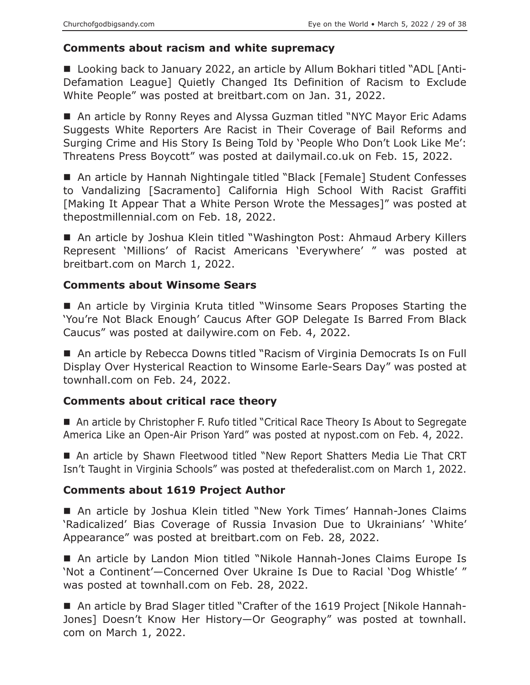## **Comments about racism and white supremacy**

■ Looking back to January 2022, an article by Allum Bokhari titled "ADL [Anti-Defamation League] Quietly Changed Its Definition of Racism to Exclude White People" was posted at breitbart.com on Jan. 31, 2022.

■ An article by Ronny Reyes and Alyssa Guzman titled "NYC Mayor Eric Adams Suggests White Reporters Are Racist in Their Coverage of Bail Reforms and Surging Crime and His Story Is Being Told by 'People Who Don't Look Like Me': Threatens Press Boycott" was posted at dailymail.co.uk on Feb. 15, 2022.

■ An article by Hannah Nightingale titled "Black [Female] Student Confesses to Vandalizing [Sacramento] California High School With Racist Graffiti [Making It Appear That a White Person Wrote the Messages]" was posted at thepostmillennial.com on Feb. 18, 2022.

■ An article by Joshua Klein titled "Washington Post: Ahmaud Arbery Killers Represent 'Millions' of Racist Americans 'Everywhere' " was posted at breitbart.com on March 1, 2022.

## **Comments about Winsome Sears**

 An article by Virginia Kruta titled "Winsome Sears Proposes Starting the 'You're Not Black Enough' Caucus After GOP Delegate Is Barred From Black Caucus" was posted at dailywire.com on Feb. 4, 2022.

■ An article by Rebecca Downs titled "Racism of Virginia Democrats Is on Full Display Over Hysterical Reaction to Winsome Earle-Sears Day" was posted at townhall.com on Feb. 24, 2022.

## **Comments about critical race theory**

■ An article by Christopher F. Rufo titled "Critical Race Theory Is About to Segregate America Like an Open-Air Prison Yard" was posted at nypost.com on Feb. 4, 2022.

 An article by Shawn Fleetwood titled "New Report Shatters Media Lie That CRT Isn't Taught in Virginia Schools" was posted at thefederalist.com on March 1, 2022.

## **Comments about 1619 Project Author**

 An article by Joshua Klein titled "New York Times' Hannah-Jones Claims 'Radicalized' Bias Coverage of Russia Invasion Due to Ukrainians' 'White' Appearance" was posted at breitbart.com on Feb. 28, 2022.

■ An article by Landon Mion titled "Nikole Hannah-Jones Claims Europe Is 'Not a Continent'—Concerned Over Ukraine Is Due to Racial 'Dog Whistle' " was posted at townhall.com on Feb. 28, 2022.

 An article by Brad Slager titled "Crafter of the 1619 Project [Nikole Hannah-Jones] Doesn't Know Her History—Or Geography" was posted at townhall. com on March 1, 2022.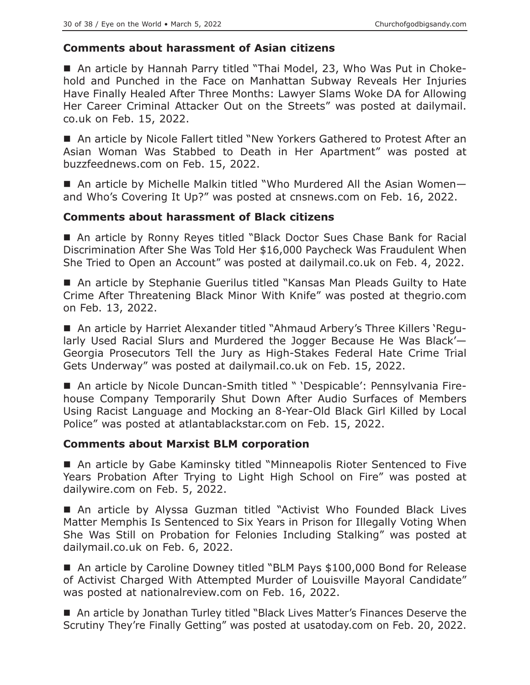## **Comments about harassment of Asian citizens**

■ An article by Hannah Parry titled "Thai Model, 23, Who Was Put in Chokehold and Punched in the Face on Manhattan Subway Reveals Her Injuries Have Finally Healed After Three Months: Lawyer Slams Woke DA for Allowing Her Career Criminal Attacker Out on the Streets" was posted at dailymail. co.uk on Feb. 15, 2022.

 An article by Nicole Fallert titled "New Yorkers Gathered to Protest After an Asian Woman Was Stabbed to Death in Her Apartment" was posted at buzzfeednews.com on Feb. 15, 2022.

■ An article by Michelle Malkin titled "Who Murdered All the Asian Womenand Who's Covering It Up?" was posted at cnsnews.com on Feb. 16, 2022.

## **Comments about harassment of Black citizens**

■ An article by Ronny Reyes titled "Black Doctor Sues Chase Bank for Racial Discrimination After She Was Told Her \$16,000 Paycheck Was Fraudulent When She Tried to Open an Account" was posted at dailymail.co.uk on Feb. 4, 2022.

■ An article by Stephanie Guerilus titled "Kansas Man Pleads Guilty to Hate Crime After Threatening Black Minor With Knife" was posted at thegrio.com on Feb. 13, 2022.

■ An article by Harriet Alexander titled "Ahmaud Arbery's Three Killers 'Regularly Used Racial Slurs and Murdered the Jogger Because He Was Black'— Georgia Prosecutors Tell the Jury as High-Stakes Federal Hate Crime Trial Gets Underway" was posted at dailymail.co.uk on Feb. 15, 2022.

■ An article by Nicole Duncan-Smith titled " 'Despicable': Pennsylvania Firehouse Company Temporarily Shut Down After Audio Surfaces of Members Using Racist Language and Mocking an 8-Year-Old Black Girl Killed by Local Police" was posted at atlantablackstar.com on Feb. 15, 2022.

## **Comments about Marxist BLM corporation**

■ An article by Gabe Kaminsky titled "Minneapolis Rioter Sentenced to Five Years Probation After Trying to Light High School on Fire" was posted at dailywire.com on Feb. 5, 2022.

 An article by Alyssa Guzman titled "Activist Who Founded Black Lives Matter Memphis Is Sentenced to Six Years in Prison for Illegally Voting When She Was Still on Probation for Felonies Including Stalking" was posted at dailymail.co.uk on Feb. 6, 2022.

■ An article by Caroline Downey titled "BLM Pays \$100,000 Bond for Release of Activist Charged With Attempted Murder of Louisville Mayoral Candidate" was posted at nationalreview.com on Feb. 16, 2022.

■ An article by Jonathan Turley titled "Black Lives Matter's Finances Deserve the Scrutiny They're Finally Getting" was posted at usatoday.com on Feb. 20, 2022.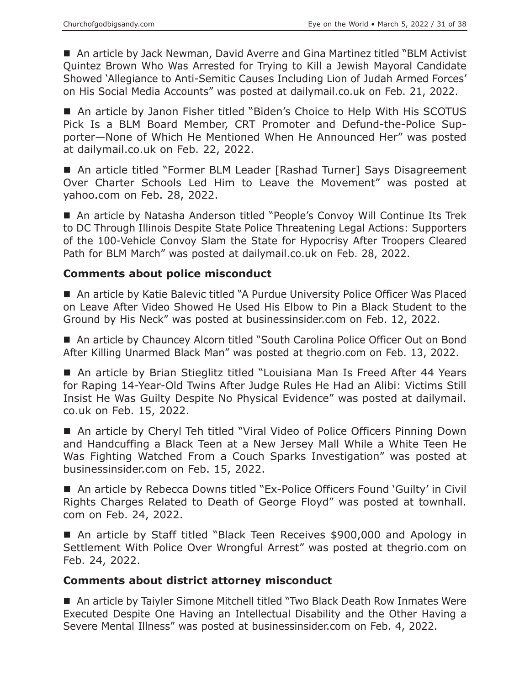■ An article by Jack Newman, David Averre and Gina Martinez titled "BLM Activist Quintez Brown Who Was Arrested for Trying to Kill a Jewish Mayoral Candidate Showed 'Allegiance to Anti-Semitic Causes Including Lion of Judah Armed Forces' on His Social Media Accounts" was posted at dailymail.co.uk on Feb. 21, 2022.

■ An article by Janon Fisher titled "Biden's Choice to Help With His SCOTUS Pick Is a BLM Board Member, CRT Promoter and Defund-the-Police Supporter—None of Which He Mentioned When He Announced Her" was posted at dailymail.co.uk on Feb. 22, 2022.

■ An article titled "Former BLM Leader [Rashad Turner] Says Disagreement Over Charter Schools Led Him to Leave the Movement" was posted at yahoo.com on Feb. 28, 2022.

■ An article by Natasha Anderson titled "People's Convoy Will Continue Its Trek to DC Through Illinois Despite State Police Threatening Legal Actions: Supporters of the 100-Vehicle Convoy Slam the State for Hypocrisy After Troopers Cleared Path for BLM March" was posted at dailymail.co.uk on Feb. 28, 2022.

#### **Comments about police misconduct**

■ An article by Katie Balevic titled "A Purdue University Police Officer Was Placed on Leave After Video Showed He Used His Elbow to Pin a Black Student to the Ground by His Neck" was posted at businessinsider.com on Feb. 12, 2022.

■ An article by Chauncey Alcorn titled "South Carolina Police Officer Out on Bond After Killing Unarmed Black Man" was posted at thegrio.com on Feb. 13, 2022.

■ An article by Brian Stieglitz titled "Louisiana Man Is Freed After 44 Years for Raping 14-Year-Old Twins After Judge Rules He Had an Alibi: Victims Still Insist He Was Guilty Despite No Physical Evidence" was posted at dailymail. co.uk on Feb. 15, 2022.

■ An article by Cheryl Teh titled "Viral Video of Police Officers Pinning Down and Handcuffing a Black Teen at a New Jersey Mall While a White Teen He Was Fighting Watched From a Couch Sparks Investigation" was posted at businessinsider.com on Feb. 15, 2022.

■ An article by Rebecca Downs titled "Ex-Police Officers Found 'Guilty' in Civil Rights Charges Related to Death of George Floyd" was posted at townhall. com on Feb. 24, 2022.

■ An article by Staff titled "Black Teen Receives \$900,000 and Apology in Settlement With Police Over Wrongful Arrest" was posted at thegrio.com on Feb. 24, 2022.

#### **Comments about district attorney misconduct**

■ An article by Taiyler Simone Mitchell titled "Two Black Death Row Inmates Were Executed Despite One Having an Intellectual Disability and the Other Having a Severe Mental Illness" was posted at businessinsider.com on Feb. 4, 2022.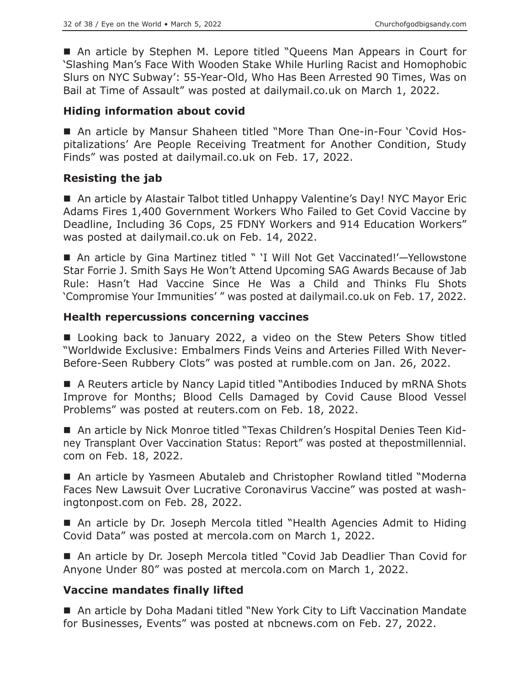■ An article by Stephen M. Lepore titled "Queens Man Appears in Court for 'Slashing Man's Face With Wooden Stake While Hurling Racist and Homophobic Slurs on NYC Subway': 55-Year-Old, Who Has Been Arrested 90 Times, Was on Bail at Time of Assault" was posted at dailymail.co.uk on March 1, 2022.

# **Hiding information about covid**

 An article by Mansur Shaheen titled "More Than One-in-Four 'Covid Hospitalizations' Are People Receiving Treatment for Another Condition, Study Finds" was posted at dailymail.co.uk on Feb. 17, 2022.

# **Resisting the jab**

■ An article by Alastair Talbot titled Unhappy Valentine's Day! NYC Mayor Eric Adams Fires 1,400 Government Workers Who Failed to Get Covid Vaccine by Deadline, Including 36 Cops, 25 FDNY Workers and 914 Education Workers" was posted at dailymail.co.uk on Feb. 14, 2022.

■ An article by Gina Martinez titled " 'I Will Not Get Vaccinated!'-Yellowstone Star Forrie J. Smith Says He Won't Attend Upcoming SAG Awards Because of Jab Rule: Hasn't Had Vaccine Since He Was a Child and Thinks Flu Shots 'Compromise Your Immunities' " was posted at dailymail.co.uk on Feb. 17, 2022.

## **Health repercussions concerning vaccines**

■ Looking back to January 2022, a video on the Stew Peters Show titled "Worldwide Exclusive: Embalmers Finds Veins and Arteries Filled With Never-Before-Seen Rubbery Clots" was posted at rumble.com on Jan. 26, 2022.

■ A Reuters article by Nancy Lapid titled "Antibodies Induced by mRNA Shots Improve for Months; Blood Cells Damaged by Covid Cause Blood Vessel Problems" was posted at reuters.com on Feb. 18, 2022.

 An article by Nick Monroe titled "Texas Children's Hospital Denies Teen Kidney Transplant Over Vaccination Status: Report" was posted at thepostmillennial. com on Feb. 18, 2022.

■ An article by Yasmeen Abutaleb and Christopher Rowland titled "Moderna Faces New Lawsuit Over Lucrative Coronavirus Vaccine" was posted at washingtonpost.com on Feb. 28, 2022.

■ An article by Dr. Joseph Mercola titled "Health Agencies Admit to Hiding Covid Data" was posted at mercola.com on March 1, 2022.

■ An article by Dr. Joseph Mercola titled "Covid Jab Deadlier Than Covid for Anyone Under 80" was posted at mercola.com on March 1, 2022.

## **Vaccine mandates finally lifted**

■ An article by Doha Madani titled "New York City to Lift Vaccination Mandate for Businesses, Events" was posted at nbcnews.com on Feb. 27, 2022.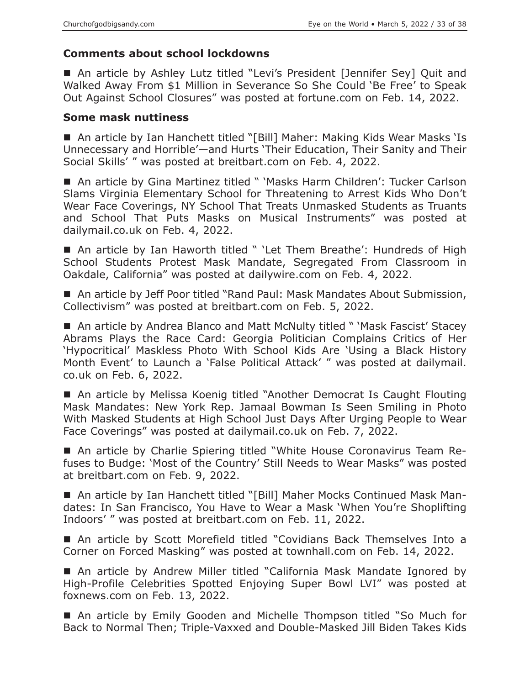# **Comments about school lockdowns**

■ An article by Ashley Lutz titled "Levi's President [Jennifer Sey] Quit and Walked Away From \$1 Million in Severance So She Could 'Be Free' to Speak Out Against School Closures" was posted at fortune.com on Feb. 14, 2022.

#### **Some mask nuttiness**

■ An article by Ian Hanchett titled "[Bill] Maher: Making Kids Wear Masks 'Is Unnecessary and Horrible'—and Hurts 'Their Education, Their Sanity and Their Social Skills' " was posted at breitbart.com on Feb. 4, 2022.

■ An article by Gina Martinez titled " 'Masks Harm Children': Tucker Carlson Slams Virginia Elementary School for Threatening to Arrest Kids Who Don't Wear Face Coverings, NY School That Treats Unmasked Students as Truants and School That Puts Masks on Musical Instruments" was posted at dailymail.co.uk on Feb. 4, 2022.

■ An article by Ian Haworth titled " 'Let Them Breathe': Hundreds of High School Students Protest Mask Mandate, Segregated From Classroom in Oakdale, California" was posted at dailywire.com on Feb. 4, 2022.

■ An article by Jeff Poor titled "Rand Paul: Mask Mandates About Submission, Collectivism" was posted at breitbart.com on Feb. 5, 2022.

■ An article by Andrea Blanco and Matt McNulty titled " 'Mask Fascist' Stacey Abrams Plays the Race Card: Georgia Politician Complains Critics of Her 'Hypocritical' Maskless Photo With School Kids Are 'Using a Black History Month Event' to Launch a 'False Political Attack' " was posted at dailymail. co.uk on Feb. 6, 2022.

■ An article by Melissa Koenig titled "Another Democrat Is Caught Flouting Mask Mandates: New York Rep. Jamaal Bowman Is Seen Smiling in Photo With Masked Students at High School Just Days After Urging People to Wear Face Coverings" was posted at dailymail.co.uk on Feb. 7, 2022.

 An article by Charlie Spiering titled "White House Coronavirus Team Refuses to Budge: 'Most of the Country' Still Needs to Wear Masks" was posted at breitbart.com on Feb. 9, 2022.

■ An article by Ian Hanchett titled "[Bill] Maher Mocks Continued Mask Mandates: In San Francisco, You Have to Wear a Mask 'When You're Shoplifting Indoors' " was posted at breitbart.com on Feb. 11, 2022.

■ An article by Scott Morefield titled "Covidians Back Themselves Into a Corner on Forced Masking" was posted at townhall.com on Feb. 14, 2022.

 An article by Andrew Miller titled "California Mask Mandate Ignored by High-Profile Celebrities Spotted Enjoying Super Bowl LVI" was posted at foxnews.com on Feb. 13, 2022.

 An article by Emily Gooden and Michelle Thompson titled "So Much for Back to Normal Then; Triple-Vaxxed and Double-Masked Jill Biden Takes Kids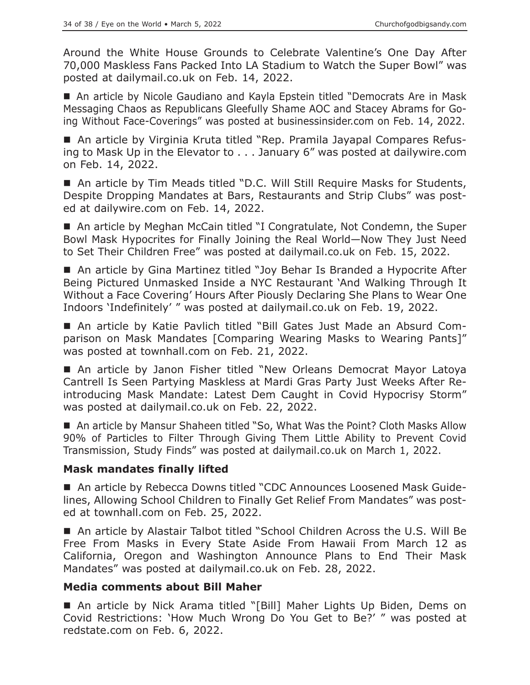Around the White House Grounds to Celebrate Valentine's One Day After 70,000 Maskless Fans Packed Into LA Stadium to Watch the Super Bowl" was posted at dailymail.co.uk on Feb. 14, 2022.

■ An article by Nicole Gaudiano and Kayla Epstein titled "Democrats Are in Mask Messaging Chaos as Republicans Gleefully Shame AOC and Stacey Abrams for Going Without Face-Coverings" was posted at businessinsider.com on Feb. 14, 2022.

■ An article by Virginia Kruta titled "Rep. Pramila Jayapal Compares Refusing to Mask Up in the Elevator to . . . January 6" was posted at dailywire.com on Feb. 14, 2022.

■ An article by Tim Meads titled "D.C. Will Still Require Masks for Students, Despite Dropping Mandates at Bars, Restaurants and Strip Clubs" was posted at dailywire.com on Feb. 14, 2022.

■ An article by Meghan McCain titled "I Congratulate, Not Condemn, the Super Bowl Mask Hypocrites for Finally Joining the Real World—Now They Just Need to Set Their Children Free" was posted at dailymail.co.uk on Feb. 15, 2022.

■ An article by Gina Martinez titled "Joy Behar Is Branded a Hypocrite After Being Pictured Unmasked Inside a NYC Restaurant 'And Walking Through It Without a Face Covering' Hours After Piously Declaring She Plans to Wear One Indoors 'Indefinitely' " was posted at dailymail.co.uk on Feb. 19, 2022.

 An article by Katie Pavlich titled "Bill Gates Just Made an Absurd Comparison on Mask Mandates [Comparing Wearing Masks to Wearing Pants]" was posted at townhall.com on Feb. 21, 2022.

■ An article by Janon Fisher titled "New Orleans Democrat Mayor Latoya Cantrell Is Seen Partying Maskless at Mardi Gras Party Just Weeks After Reintroducing Mask Mandate: Latest Dem Caught in Covid Hypocrisy Storm" was posted at dailymail.co.uk on Feb. 22, 2022.

■ An article by Mansur Shaheen titled "So, What Was the Point? Cloth Masks Allow 90% of Particles to Filter Through Giving Them Little Ability to Prevent Covid Transmission, Study Finds" was posted at dailymail.co.uk on March 1, 2022.

## **Mask mandates finally lifted**

■ An article by Rebecca Downs titled "CDC Announces Loosened Mask Guidelines, Allowing School Children to Finally Get Relief From Mandates" was posted at townhall.com on Feb. 25, 2022.

 An article by Alastair Talbot titled "School Children Across the U.S. Will Be Free From Masks in Every State Aside From Hawaii From March 12 as California, Oregon and Washington Announce Plans to End Their Mask Mandates" was posted at dailymail.co.uk on Feb. 28, 2022.

## **Media comments about Bill Maher**

■ An article by Nick Arama titled "[Bill] Maher Lights Up Biden, Dems on Covid Restrictions: 'How Much Wrong Do You Get to Be?' " was posted at redstate.com on Feb. 6, 2022.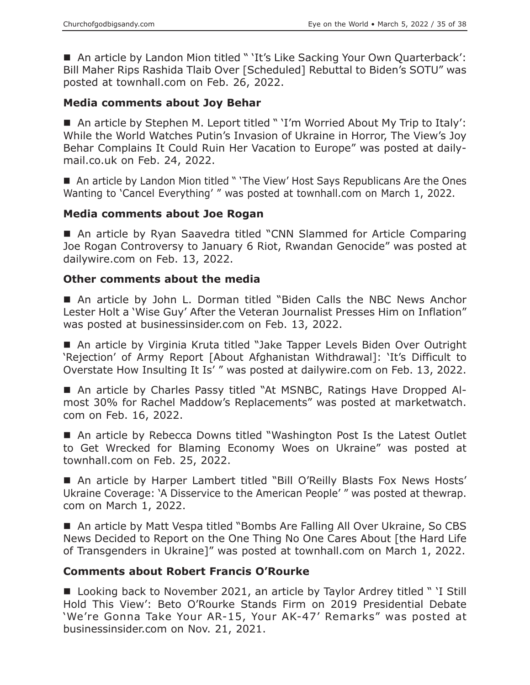■ An article by Landon Mion titled " 'It's Like Sacking Your Own Quarterback': Bill Maher Rips Rashida Tlaib Over [Scheduled] Rebuttal to Biden's SOTU" was posted at townhall.com on Feb. 26, 2022.

#### **Media comments about Joy Behar**

■ An article by Stephen M. Leport titled " 'I'm Worried About My Trip to Italy': While the World Watches Putin's Invasion of Ukraine in Horror, The View's Joy Behar Complains It Could Ruin Her Vacation to Europe" was posted at dailymail.co.uk on Feb. 24, 2022.

■ An article by Landon Mion titled " 'The View' Host Says Republicans Are the Ones Wanting to 'Cancel Everything' " was posted at townhall.com on March 1, 2022.

#### **Media comments about Joe Rogan**

■ An article by Ryan Saavedra titled "CNN Slammed for Article Comparing Joe Rogan Controversy to January 6 Riot, Rwandan Genocide" was posted at dailywire.com on Feb. 13, 2022.

#### **Other comments about the media**

 An article by John L. Dorman titled "Biden Calls the NBC News Anchor Lester Holt a 'Wise Guy' After the Veteran Journalist Presses Him on Inflation" was posted at businessinsider.com on Feb. 13, 2022.

■ An article by Virginia Kruta titled "Jake Tapper Levels Biden Over Outright 'Rejection' of Army Report [About Afghanistan Withdrawal]: 'It's Difficult to Overstate How Insulting It Is' " was posted at dailywire.com on Feb. 13, 2022.

■ An article by Charles Passy titled "At MSNBC, Ratings Have Dropped Almost 30% for Rachel Maddow's Replacements" was posted at marketwatch. com on Feb. 16, 2022.

■ An article by Rebecca Downs titled "Washington Post Is the Latest Outlet to Get Wrecked for Blaming Economy Woes on Ukraine" was posted at townhall.com on Feb. 25, 2022.

 An article by Harper Lambert titled "Bill O'Reilly Blasts Fox News Hosts' Ukraine Coverage: 'A Disservice to the American People' " was posted at thewrap. com on March 1, 2022.

■ An article by Matt Vespa titled "Bombs Are Falling All Over Ukraine, So CBS News Decided to Report on the One Thing No One Cares About [the Hard Life of Transgenders in Ukraine]" was posted at townhall.com on March 1, 2022.

## **Comments about Robert Francis O'Rourke**

■ Looking back to November 2021, an article by Taylor Ardrey titled " 'I Still Hold This View': Beto O'Rourke Stands Firm on 2019 Presidential Debate 'We're Gonna Take Your AR-15, Your AK-47' Remarks" was posted at businessinsider.com on Nov. 21, 2021.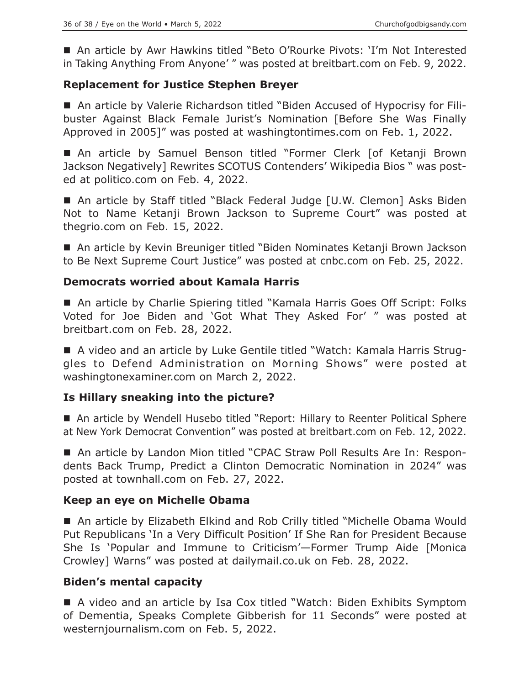■ An article by Awr Hawkins titled "Beto O'Rourke Pivots: 'I'm Not Interested in Taking Anything From Anyone' " was posted at breitbart.com on Feb. 9, 2022.

# **Replacement for Justice Stephen Breyer**

 An article by Valerie Richardson titled "Biden Accused of Hypocrisy for Filibuster Against Black Female Jurist's Nomination [Before She Was Finally Approved in 2005]" was posted at washingtontimes.com on Feb. 1, 2022.

 An article by Samuel Benson titled "Former Clerk [of Ketanji Brown Jackson Negatively] Rewrites SCOTUS Contenders' Wikipedia Bios " was posted at politico.com on Feb. 4, 2022.

■ An article by Staff titled "Black Federal Judge [U.W. Clemon] Asks Biden Not to Name Ketanji Brown Jackson to Supreme Court" was posted at thegrio.com on Feb. 15, 2022.

■ An article by Kevin Breuniger titled "Biden Nominates Ketanji Brown Jackson to Be Next Supreme Court Justice" was posted at cnbc.com on Feb. 25, 2022.

# **Democrats worried about Kamala Harris**

■ An article by Charlie Spiering titled "Kamala Harris Goes Off Script: Folks Voted for Joe Biden and 'Got What They Asked For' " was posted at breitbart.com on Feb. 28, 2022.

 A video and an article by Luke Gentile titled "Watch: Kamala Harris Struggles to Defend Administration on Morning Shows" were posted at washingtonexaminer.com on March 2, 2022.

# **Is Hillary sneaking into the picture?**

■ An article by Wendell Husebo titled "Report: Hillary to Reenter Political Sphere at New York Democrat Convention" was posted at breitbart.com on Feb. 12, 2022.

■ An article by Landon Mion titled "CPAC Straw Poll Results Are In: Respondents Back Trump, Predict a Clinton Democratic Nomination in 2024" was posted at townhall.com on Feb. 27, 2022.

## **Keep an eye on Michelle Obama**

■ An article by Elizabeth Elkind and Rob Crilly titled "Michelle Obama Would Put Republicans 'In a Very Difficult Position' If She Ran for President Because She Is 'Popular and Immune to Criticism'—Former Trump Aide [Monica Crowley] Warns" was posted at dailymail.co.uk on Feb. 28, 2022.

# **Biden's mental capacity**

■ A video and an article by Isa Cox titled "Watch: Biden Exhibits Symptom of Dementia, Speaks Complete Gibberish for 11 Seconds" were posted at westernjournalism.com on Feb. 5, 2022.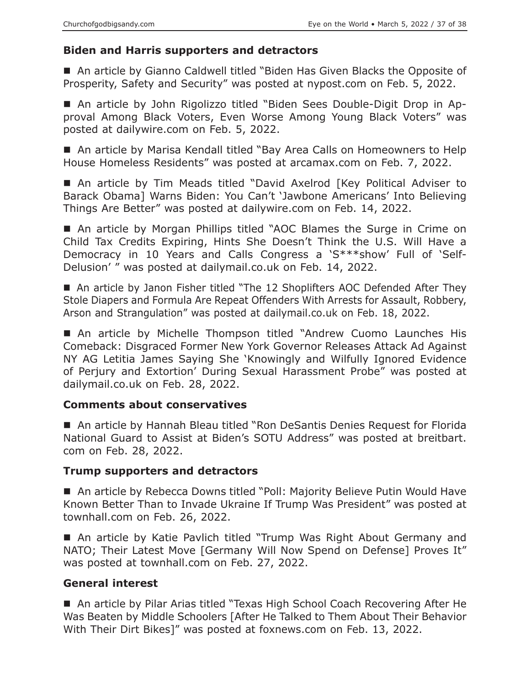## **Biden and Harris supporters and detractors**

■ An article by Gianno Caldwell titled "Biden Has Given Blacks the Opposite of Prosperity, Safety and Security" was posted at nypost.com on Feb. 5, 2022.

 An article by John Rigolizzo titled "Biden Sees Double-Digit Drop in Approval Among Black Voters, Even Worse Among Young Black Voters" was posted at dailywire.com on Feb. 5, 2022.

■ An article by Marisa Kendall titled "Bay Area Calls on Homeowners to Help House Homeless Residents" was posted at arcamax.com on Feb. 7, 2022.

■ An article by Tim Meads titled "David Axelrod [Key Political Adviser to Barack Obama] Warns Biden: You Can't 'Jawbone Americans' Into Believing Things Are Better" was posted at dailywire.com on Feb. 14, 2022.

■ An article by Morgan Phillips titled "AOC Blames the Surge in Crime on Child Tax Credits Expiring, Hints She Doesn't Think the U.S. Will Have a Democracy in 10 Years and Calls Congress a 'S\*\*\*show' Full of 'Self-Delusion' " was posted at dailymail.co.uk on Feb. 14, 2022.

■ An article by Janon Fisher titled "The 12 Shoplifters AOC Defended After They Stole Diapers and Formula Are Repeat Offenders With Arrests for Assault, Robbery, Arson and Strangulation" was posted at dailymail.co.uk on Feb. 18, 2022.

 An article by Michelle Thompson titled "Andrew Cuomo Launches His Comeback: Disgraced Former New York Governor Releases Attack Ad Against NY AG Letitia James Saying She 'Knowingly and Wilfully Ignored Evidence of Perjury and Extortion' During Sexual Harassment Probe" was posted at dailymail.co.uk on Feb. 28, 2022.

## **Comments about conservatives**

■ An article by Hannah Bleau titled "Ron DeSantis Denies Request for Florida National Guard to Assist at Biden's SOTU Address" was posted at breitbart. com on Feb. 28, 2022.

## **Trump supporters and detractors**

■ An article by Rebecca Downs titled "Poll: Majority Believe Putin Would Have Known Better Than to Invade Ukraine If Trump Was President" was posted at townhall.com on Feb. 26, 2022.

 An article by Katie Pavlich titled "Trump Was Right About Germany and NATO; Their Latest Move [Germany Will Now Spend on Defense] Proves It" was posted at townhall.com on Feb. 27, 2022.

# **General interest**

■ An article by Pilar Arias titled "Texas High School Coach Recovering After He Was Beaten by Middle Schoolers [After He Talked to Them About Their Behavior With Their Dirt Bikes]" was posted at foxnews.com on Feb. 13, 2022.